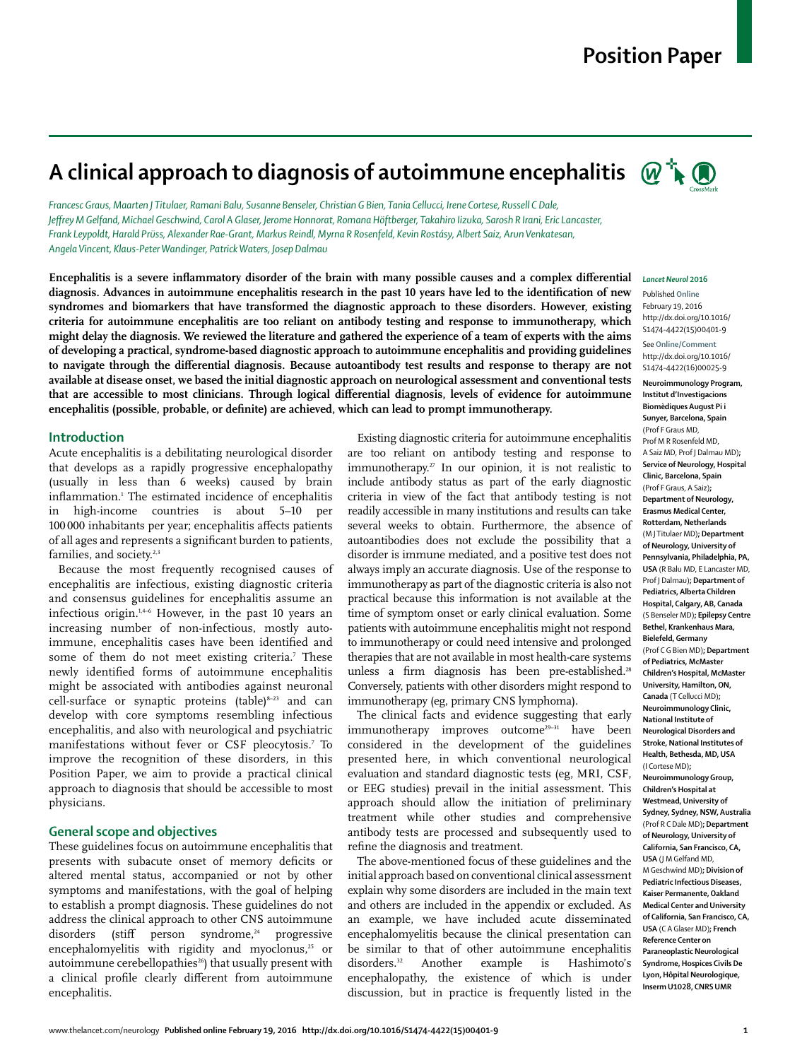# **Position Paper**

# **A clinical approach to diagnosis of autoimmune encephalitis**



*Francesc Graus, Maarten J Titulaer, Ramani Balu, Susanne Benseler, Christian G Bien, Tania Cellucci, Irene Cortese, Russell C Dale, Jeff rey M Gelfand, Michael Geschwind, Carol A Glaser, Jerome Honnorat, Romana Höftberger, Takahiro Iizuka, Sarosh R Irani, Eric Lancaster, Frank Leypoldt, Harald Prüss, Alexander Rae-Grant, Markus Reindl, Myrna R Rosenfeld, Kevin Rostásy, Albert Saiz, Arun Venkatesan, Angela Vincent, Klaus-Peter Wandinger, Patrick Waters, Josep Dalmau*

Encephalitis is a severe inflammatory disorder of the brain with many possible causes and a complex differential diagnosis. Advances in autoimmune encephalitis research in the past 10 years have led to the identification of new **syndromes and biomarkers that have transformed the diagnostic approach to these disorders. However, existing criteria for autoimmune encephalitis are too reliant on antibody testing and response to immunotherapy, which might delay the diagnosis. We reviewed the literature and gathered the experience of a team of experts with the aims of developing a practical, syndrome-based diagnostic approach to autoimmune encephalitis and providing guidelines**  to navigate through the differential diagnosis. Because autoantibody test results and response to therapy are not **available at disease onset, we based the initial diagnostic approach on neurological assessment and conventional tests**  that are accessible to most clinicians. Through logical differential diagnosis, levels of evidence for autoimmune encephalitis (possible, probable, or definite) are achieved, which can lead to prompt immunotherapy.

## **Introduction**

Acute encephalitis is a debilitating neurological disorder that develops as a rapidly progressive encephalopathy (usually in less than 6 weeks) caused by brain inflammation.<sup>1</sup> The estimated incidence of encephalitis in high-income countries is about 5–10 per 100 000 inhabitants per year; encephalitis affects patients of all ages and represents a significant burden to patients, families, and society.<sup>2,3</sup>

Because the most frequently recognised causes of encephalitis are infectious, existing diagnostic criteria and consensus guidelines for encephalitis assume an infectious origin.1,4–6 However, in the past 10 years an increasing number of non-infectious, mostly autoimmune, encephalitis cases have been identified and some of them do not meet existing criteria.7 These newly identified forms of autoimmune encephalitis might be associated with antibodies against neuronal cell-surface or synaptic proteins (table)<sup>8-23</sup> and can develop with core symptoms resembling infectious encephalitis, and also with neurological and psychiatric manifestations without fever or CSF pleocytosis.7 To improve the recognition of these disorders, in this Position Paper, we aim to provide a practical clinical approach to diagnosis that should be accessible to most physicians.

# **General scope and objectives**

These guidelines focus on autoimmune encephalitis that presents with subacute onset of memory deficits or altered mental status, accompanied or not by other symptoms and manifestations, with the goal of helping to establish a prompt diagnosis. These guidelines do not address the clinical approach to other CNS autoimmune disorders (stiff person syndrome, $24$  progressive encephalomyelitis with rigidity and myoclonus,<sup>25</sup> or autoimmune cerebellopathies<sup>26</sup>) that usually present with a clinical profile clearly different from autoimmune encephalitis.

Existing diagnostic criteria for autoimmune encephalitis are too reliant on antibody testing and response to immunotherapy.<sup>27</sup> In our opinion, it is not realistic to include antibody status as part of the early diagnostic criteria in view of the fact that antibody testing is not readily accessible in many institutions and results can take several weeks to obtain. Furthermore, the absence of autoantibodies does not exclude the possibility that a disorder is immune mediated, and a positive test does not always imply an accurate diagnosis. Use of the response to immunotherapy as part of the diagnostic criteria is also not practical because this information is not available at the time of symptom onset or early clinical evaluation. Some patients with autoimmune encephalitis might not respond to immunotherapy or could need intensive and prolonged therapies that are not available in most health-care systems unless a firm diagnosis has been pre-established.<sup>28</sup> Conversely, patients with other disorders might respond to immunotherapy (eg, primary CNS lymphoma).

The clinical facts and evidence suggesting that early immunotherapy improves outcome<sup>29-31</sup> have been considered in the development of the guidelines presented here, in which conventional neurological evaluation and standard diagnostic tests (eg, MRI, CSF, or EEG studies) prevail in the initial assessment. This approach should allow the initiation of preliminary treatment while other studies and comprehensive antibody tests are processed and subsequently used to refine the diagnosis and treatment.

The above-mentioned focus of these guidelines and the initial approach based on conventional clinical assessment explain why some disorders are included in the main text and others are included in the appendix or excluded. As an example, we have included acute disseminated encephalomyelitis because the clinical presentation can be similar to that of other autoimmune encephalitis disorders.<sup>32</sup> Another example is Hashimoto's Another example is Hashimoto's encephalopathy, the existence of which is under discussion, but in practice is frequently listed in the

#### *Lancet Neurol* **2016**

Published **Online** February 19, 2016 http://dx.doi.org/10.1016/ S1474-4422(15)00401-9

See **Online/Comment** http://dx.doi.org/10.1016/ S1474-4422(16)00025-9

**Neuroimmunology Program, Institut d'Investigacions Biomèdiques August Pi i Sunyer, Barcelona, Spain** (Prof F Graus MD, Prof M R Rosenfeld MD, A Saiz MD, Prof J Dalmau MD)**; Service of Neurology, Hospital Clinic, Barcelona, Spain** (Prof F Graus, A Saiz)**; Department of Neurology, Erasmus Medical Center, Rotterdam, Netherlands** (M J Titulaer MD)**; Department of Neurology, University of Pennsylvania, Philadelphia, PA, USA** (R Balu MD, E Lancaster MD, Prof J Dalmau)**; Department of Pediatrics, Alberta Children Hospital, Calgary, AB, Canada** (S Benseler MD)**; Epilepsy Centre Bethel, Krankenhaus Mara, Bielefeld, Germany** (Prof C G Bien MD)**; Department of Pediatrics, McMaster Children's Hospital, McMaster University, Hamilton, ON, Canada** (T Cellucci MD)**; Neuroimmunology Clinic, National Institute of Neurological Disorders and Stroke, National Institutes of Health, Bethesda, MD, USA** (I Cortese MD)**; Neuroimmunology Group, Children's Hospital at Westmead, University of Sydney, Sydney, NSW, Australia** (Prof R C Dale MD)**; Department of Neurology, University of California, San Francisco, CA, USA** (J M Gelfand MD, M Geschwind MD)**; Division of Pediatric Infectious Diseases, Kaiser Permanente, Oakland Medical Center and University of California, San Francisco, CA, USA** (C A Glaser MD)**; French Reference Center on Paraneoplastic Neurological Syndrome, Hospices Civils De Lyon, Hôpital Neurologique, Inserm U1028, CNRS UMR**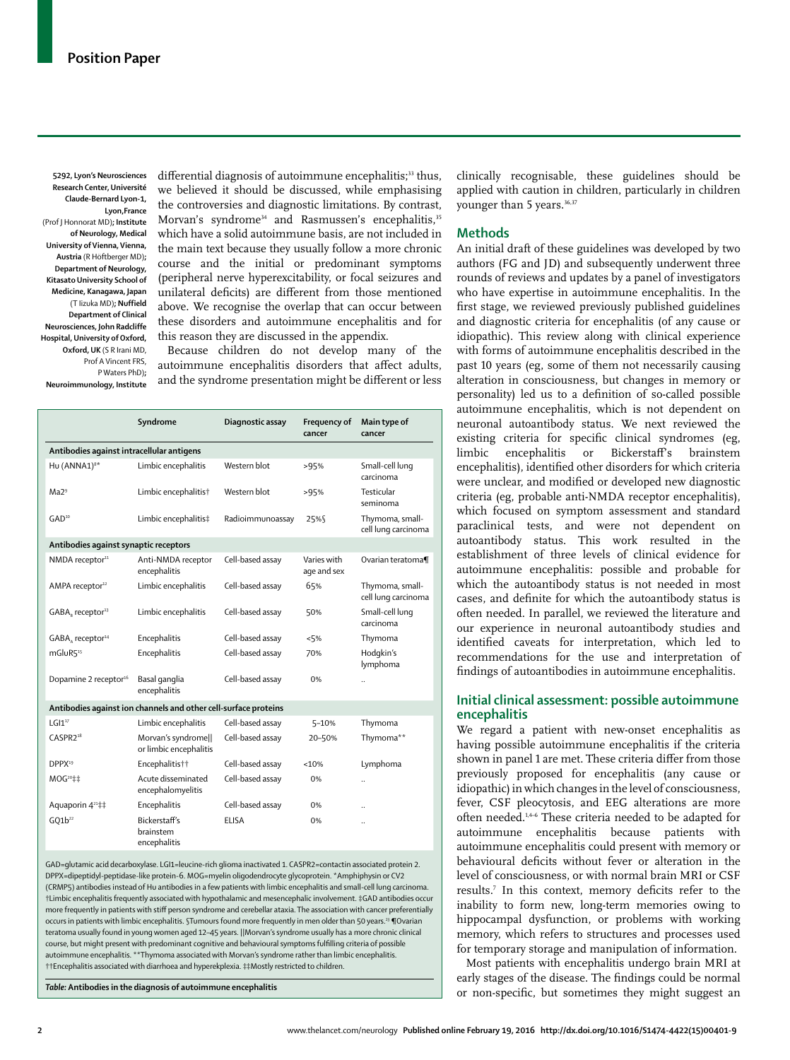**5292, Lyon's Neurosciences Research Center, Université Claude-Bernard Lyon-1, Lyon,France** (Prof J Honnorat MD)**; Institute of Neurology, Medical University of Vienna, Vienna, Austria** (R Höftberger MD)**; Department of Neurology, Kitasato University School of Medicine, Kanagawa, Japan** (T Iizuka MD)**; Nuffield Department of Clinical Neurosciences, John Radcliffe Hospital, University of Oxford, Oxford, UK** (S R Irani MD, Prof A Vincent FRS, P Waters PhD)**; Neuroimmunology, Institute** 

differential diagnosis of autoimmune encephalitis;<sup>33</sup> thus, we believed it should be discussed, while emphasising the controversies and diagnostic limitations. By contrast, Morvan's syndrome<sup>34</sup> and Rasmussen's encephalitis,<sup>35</sup> which have a solid autoimmune basis, are not included in the main text because they usually follow a more chronic course and the initial or predominant symptoms (peripheral nerve hyperexcitability, or focal seizures and unilateral deficits) are different from those mentioned above. We recognise the overlap that can occur between these disorders and autoimmune encephalitis and for this reason they are discussed in the appendix.

Because children do not develop many of the autoimmune encephalitis disorders that affect adults, and the syndrome presentation might be different or less

|                                                                 | Syndrome                                      | Diagnostic assay | Frequency of<br>cancer     | Main type of<br>cancer                 |
|-----------------------------------------------------------------|-----------------------------------------------|------------------|----------------------------|----------------------------------------|
| Antibodies against intracellular antigens                       |                                               |                  |                            |                                        |
| Hu (ANNA1) <sup>8*</sup>                                        | Limbic encephalitis                           | Western blot     | >95%                       | Small-cell lung<br>carcinoma           |
| Ma2 <sup>9</sup>                                                | Limbic encephalitis†                          | Western blot     | >95%                       | Testicular<br>seminoma                 |
| $GAD^{10}$                                                      | Limbic encephalitis‡                          | Radioimmunoassay | 25%                        | Thymoma, small-<br>cell lung carcinoma |
| Antibodies against synaptic receptors                           |                                               |                  |                            |                                        |
| NMDA receptor <sup>11</sup>                                     | Anti-NMDA receptor<br>encephalitis            | Cell-based assay | Varies with<br>age and sex | Ovarian teratoma¶                      |
| AMPA receptor <sup>12</sup>                                     | Limbic encephalitis                           | Cell-based assay | 65%                        | Thymoma, small-<br>cell lung carcinoma |
| GABA <sub>R</sub> receptor <sup>13</sup>                        | Limbic encephalitis                           | Cell-based assay | 50%                        | Small-cell lung<br>carcinoma           |
| GABA, receptor <sup>14</sup>                                    | Encephalitis                                  | Cell-based assay | 5%                         | Thymoma                                |
| mGluR5 <sup>15</sup>                                            | Encephalitis                                  | Cell-based assay | 70%                        | Hodgkin's<br>lymphoma                  |
| Dopamine 2 receptor <sup>16</sup>                               | Basal ganglia<br>encephalitis                 | Cell-based assay | 0%                         |                                        |
| Antibodies against ion channels and other cell-surface proteins |                                               |                  |                            |                                        |
| LGI <sup>17</sup>                                               | Limbic encephalitis                           | Cell-based assay | $5 - 10%$                  | Thymoma                                |
| CASPR <sub>218</sub>                                            | Morvan's syndrome  <br>or limbic encephalitis | Cell-based assay | 20-50%                     | Thymoma**                              |
| DPPX <sup>19</sup>                                              | Encephalitis††                                | Cell-based assay | < 10%                      | Lymphoma                               |
| $MOG^{20}$ ##                                                   | Acute disseminated<br>encephalomyelitis       | Cell-based assay | 0%                         |                                        |
| Aquaporin 4 <sup>21</sup> ##                                    | Encephalitis                                  | Cell-based assay | 0%                         |                                        |
| $GQ1b^{22}$                                                     | Bickerstaff's<br>brainstem<br>encephalitis    | <b>ELISA</b>     | 0%                         | Ω.                                     |

GAD=glutamic acid decarboxylase. LGI1=leucine-rich glioma inactivated 1. CASPR2=contactin associated protein 2. DPPX=dipeptidyl-peptidase-like protein-6. MOG=myelin oligodendrocyte glycoprotein. \*Amphiphysin or CV2 (CRMP5) antibodies instead of Hu antibodies in a few patients with limbic encephalitis and small-cell lung carcinoma. †Limbic encephalitis frequently associated with hypothalamic and mesencephalic involvement. ‡GAD antibodies occur more frequently in patients with stiff person syndrome and cerebellar ataxia. The association with cancer preferentially occurs in patients with limbic encephalitis. §Tumours found more frequently in men older than 50 years.23 ¶Ovarian teratoma usually found in young women aged 12–45 years. ||Morvan's syndrome usually has a more chronic clinical course, but might present with predominant cognitive and behavioural symptoms fulfilling criteria of possible autoimmune encephalitis. \*\*Thymoma associated with Morvan's syndrome rather than limbic encephalitis. ††Encephalitis associated with diarrhoea and hyperekplexia. ‡‡Mostly restricted to children.

*Table:* **Antibodies in the diagnosis of autoimmune encephalitis**

clinically recognisable, these guidelines should be applied with caution in children, particularly in children younger than 5 years.<sup>36,37</sup>

#### **Methods**

An initial draft of these guidelines was developed by two authors (FG and JD) and subsequently underwent three rounds of reviews and updates by a panel of investigators who have expertise in autoimmune encephalitis. In the first stage, we reviewed previously published guidelines and diagnostic criteria for encephalitis (of any cause or idiopathic). This review along with clinical experience with forms of autoimmune encephalitis described in the past 10 years (eg, some of them not necessarily causing alteration in consciousness, but changes in memory or personality) led us to a definition of so-called possible autoimmune encephalitis, which is not dependent on neuronal autoantibody status. We next reviewed the existing criteria for specific clinical syndromes (eg, limbic encephalitis or Bickerstaff's brainstem encephalitis or Bickerstaff's brainstem encephalitis), identified other disorders for which criteria were unclear, and modified or developed new diagnostic criteria (eg, probable anti-NMDA receptor encephalitis), which focused on symptom assessment and standard paraclinical tests, and were not dependent on autoantibody status. This work resulted in the establishment of three levels of clinical evidence for autoimmune encephalitis: possible and probable for which the autoantibody status is not needed in most cases, and definite for which the autoantibody status is often needed. In parallel, we reviewed the literature and our experience in neuronal autoantibody studies and identified caveats for interpretation, which led to recommendations for the use and interpretation of findings of autoantibodies in autoimmune encephalitis.

## **Initial clinical assessment: possible autoimmune encephalitis**

We regard a patient with new-onset encephalitis as having possible autoimmune encephalitis if the criteria shown in panel 1 are met. These criteria differ from those previously proposed for encephalitis (any cause or idiopathic) in which changes in the level of consciousness, fever, CSF pleocytosis, and EEG alterations are more often needed.1,4–6 These criteria needed to be adapted for autoimmune encephalitis because patients with autoimmune encephalitis could present with memory or behavioural deficits without fever or alteration in the level of consciousness, or with normal brain MRI or CSF results.<sup>7</sup> In this context, memory deficits refer to the inability to form new, long-term memories owing to hippocampal dysfunction, or problems with working memory, which refers to structures and processes used for temporary storage and manipulation of information.

Most patients with encephalitis undergo brain MRI at early stages of the disease. The findings could be normal or non-specific, but sometimes they might suggest an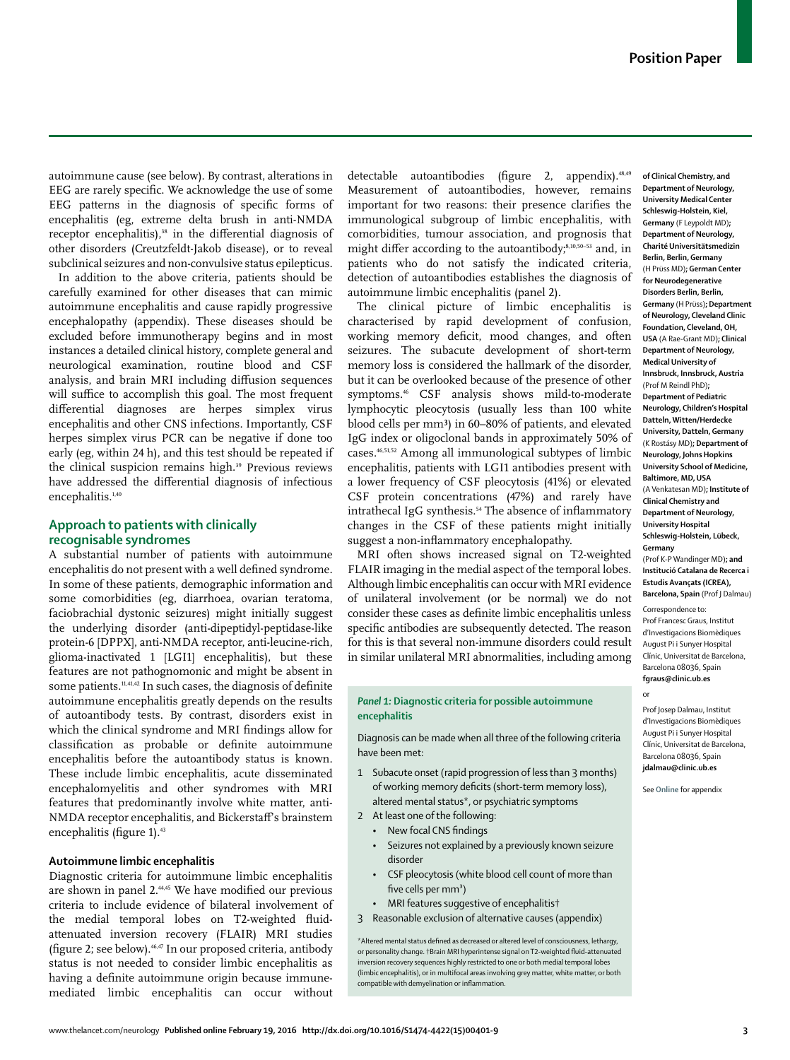autoimmune cause (see below). By contrast, alterations in EEG are rarely specific. We acknowledge the use of some EEG patterns in the diagnosis of specific forms of encephalitis (eg, extreme delta brush in anti-NMDA receptor encephalitis),<sup>38</sup> in the differential diagnosis of other disorders (Creutzfeldt-Jakob disease), or to reveal subclinical seizures and non-convulsive status epilepticus.

In addition to the above criteria, patients should be carefully examined for other diseases that can mimic autoimmune encephalitis and cause rapidly progressive encephalopathy (appendix). These diseases should be excluded before immunotherapy begins and in most instances a detailed clinical history, complete general and neurological examination, routine blood and CSF analysis, and brain MRI including diffusion sequences will suffice to accomplish this goal. The most frequent differential diagnoses are herpes simplex virus encephalitis and other CNS infections. Importantly, CSF herpes simplex virus PCR can be negative if done too early (eg, within 24 h), and this test should be repeated if the clinical suspicion remains high.<sup>39</sup> Previous reviews have addressed the differential diagnosis of infectious encephalitis.<sup>1,40</sup>

## **Approach to patients with clinically recognisable syndromes**

A substantial number of patients with autoimmune encephalitis do not present with a well defined syndrome. In some of these patients, demographic information and some comorbidities (eg, diarrhoea, ovarian teratoma, faciobrachial dystonic seizures) might initially suggest the underlying disorder (anti-dipeptidyl-peptidase-like protein-6 [DPPX], anti-NMDA receptor, anti-leucine-rich, glioma-inactivated 1 [LGI1] encephalitis), but these features are not pathognomonic and might be absent in some patients.<sup>11,41,42</sup> In such cases, the diagnosis of definite autoimmune encephalitis greatly depends on the results of autoantibody tests. By contrast, disorders exist in which the clinical syndrome and MRI findings allow for classification as probable or definite autoimmune encephalitis before the autoantibody status is known. These include limbic encephalitis, acute disseminated encephalomyelitis and other syndromes with MRI features that predominantly involve white matter, anti-NMDA receptor encephalitis, and Bickerstaff 's brainstem encephalitis (figure 1).<sup>43</sup>

## **Autoimmune limbic encephalitis**

Diagnostic criteria for autoimmune limbic encephalitis are shown in panel 2.<sup>44,45</sup> We have modified our previous criteria to include evidence of bilateral involvement of the medial temporal lobes on T2-weighted fluidattenuated inversion recovery (FLAIR) MRI studies (figure 2; see below).<sup>46,47</sup> In our proposed criteria, antibody status is not needed to consider limbic encephalitis as having a definite autoimmune origin because immunemediated limbic encephalitis can occur without detectable autoantibodies (figure 2, appendix). $48,49$ Measurement of autoantibodies, however, remains important for two reasons: their presence clarifies the immunological subgroup of limbic encephalitis, with comorbidities, tumour association, and prognosis that might differ according to the autoantibody;<sup>8,10,50-53</sup> and, in patients who do not satisfy the indicated criteria, detection of autoantibodies establishes the diagnosis of autoimmune limbic encephalitis (panel 2).

The clinical picture of limbic encephalitis is characterised by rapid development of confusion, working memory deficit, mood changes, and often seizures. The subacute development of short-term memory loss is considered the hallmark of the disorder, but it can be overlooked because of the presence of other symptoms.46 CSF analysis shows mild-to-moderate lymphocytic pleocytosis (usually less than 100 white blood cells per mm<sup>3</sup>) in 60–80% of patients, and elevated IgG index or oligoclonal bands in approximately 50% of cases.46,51,52 Among all immunological subtypes of limbic encephalitis, patients with LGI1 antibodies present with a lower frequency of CSF pleocytosis (41%) or elevated CSF protein concentrations (47%) and rarely have intrathecal IgG synthesis.<sup>54</sup> The absence of inflammatory changes in the CSF of these patients might initially suggest a non-inflammatory encephalopathy.

MRI often shows increased signal on T2-weighted FLAIR imaging in the medial aspect of the temporal lobes. Although limbic encephalitis can occur with MRI evidence of unilateral involvement (or be normal) we do not consider these cases as definite limbic encephalitis unless specific antibodies are subsequently detected. The reason for this is that several non-immune disorders could result in similar unilateral MRI abnormalities, including among

#### *Panel 1:* **Diagnostic criteria for possible autoimmune encephalitis**

Diagnosis can be made when all three of the following criteria have been met:

- 1 Subacute onset (rapid progression of less than 3 months) of working memory deficits (short-term memory loss), altered mental status\*, or psychiatric symptoms
- 2 At least one of the following:
	- New focal CNS findings
	- Seizures not explained by a previously known seizure disorder
	- CSF pleocytosis (white blood cell count of more than five cells per mm<sup>3</sup>)
	- MRI features suggestive of encephalitis†
- 3 Reasonable exclusion of alternative causes (appendix)

\*Altered mental status defined as decreased or altered level of consciousness, lethargy, or personality change. †Brain MRI hyperintense signal on T2-weighted fluid-attenuated inversion recovery sequences highly restricted to one or both medial temporal lobes (limbic encephalitis), or in multifocal areas involving grey matter, white matter, or both compatible with demyelination or inflammation.

**of Clinical Chemistry, and Department of Neurology, University Medical Center Schleswig-Holstein, Kiel, Germany** (F Leypoldt MD)**; Department of Neurology, Charité Universitätsmedizin Berlin, Berlin, Germany**  (H Prüss MD)**; German Center for Neurodegenerative Disorders Berlin, Berlin, Germany** (H Prüss)**; Department of Neurology, Cleveland Clinic Foundation, Cleveland, OH, USA** (A Rae-Grant MD)**; Clinical Department of Neurology, Medical University of Innsbruck, Innsbruck, Austria** (Prof M Reindl PhD)**; Department of Pediatric Neurology, Children's Hospital Datteln, Witten/Herdecke University, Datteln, Germany** (K Rostásy MD)**; Department of Neurology, Johns Hopkins University School of Medicine, Baltimore, MD, USA** (A Venkatesan MD)**; Institute of Clinical Chemistry and Department of Neurology, University Hospital Schleswig-Holstein, Lübeck, Germany** (Prof K-P Wandinger MD)**; and Institució Catalana de Recerca i** 

**Estudis Avançats (ICREA), Barcelona, Spain** (Prof J Dalmau)

Correspondence to: Prof Francesc Graus, Institut d'Investigacions Biomèdiques August Pi i Sunyer Hospital Clínic, Universitat de Barcelona, Barcelona 08036, Spain **fgraus@clinic.ub.es**

Prof Josep Dalmau, Institut d'Investigacions Biomèdiques August Pi i Sunyer Hospital Clínic, Universitat de Barcelona, Barcelona 08036, Spain **jdalmau@clinic.ub.es**

See **Online** for appendix

or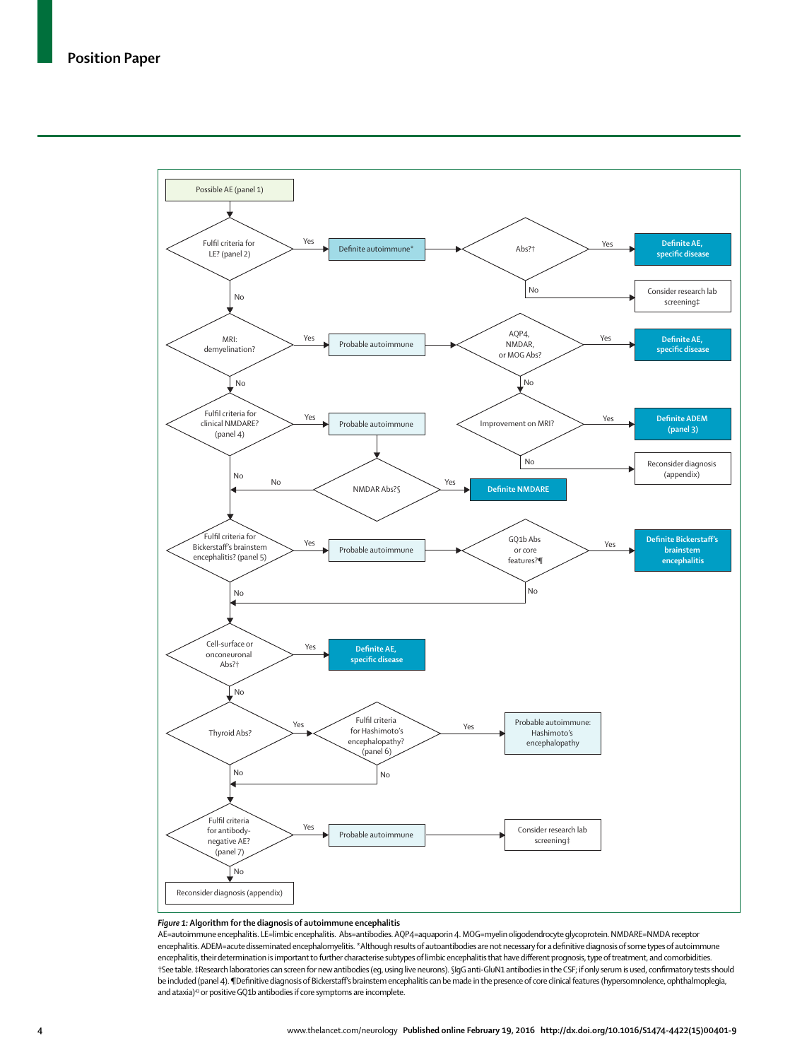

#### *Figure 1:* **Algorithm for the diagnosis of autoimmune encephalitis**

AE=autoimmune encephalitis. LE=limbic encephalitis. Abs=antibodies. AQP4=aquaporin 4. MOG=myelin oligodendrocyte glycoprotein. NMDARE=NMDA receptor encephalitis. ADEM=acute disseminated encephalomyelitis. \*Although results of autoantibodies are not necessary for a definitive diagnosis of some types of autoimmune encephalitis, their determination is important to further characterise subtypes of limbic encephalitis that have different prognosis, type of treatment, and comorbidities. †See table. ‡Research laboratories can screen for new antibodies (eg, using live neurons). §IgG anti-GluN1 antibodies in the CSF; if only serum is used, confi rmatory tests should be included (panel 4). TDefinitive diagnosis of Bickerstaff's brainstem encephalitis can be made in the presence of core clinical features (hypersomnolence, ophthalmoplegia, and ataxia)<sup>43</sup> or positive GQ1b antibodies if core symptoms are incomplete.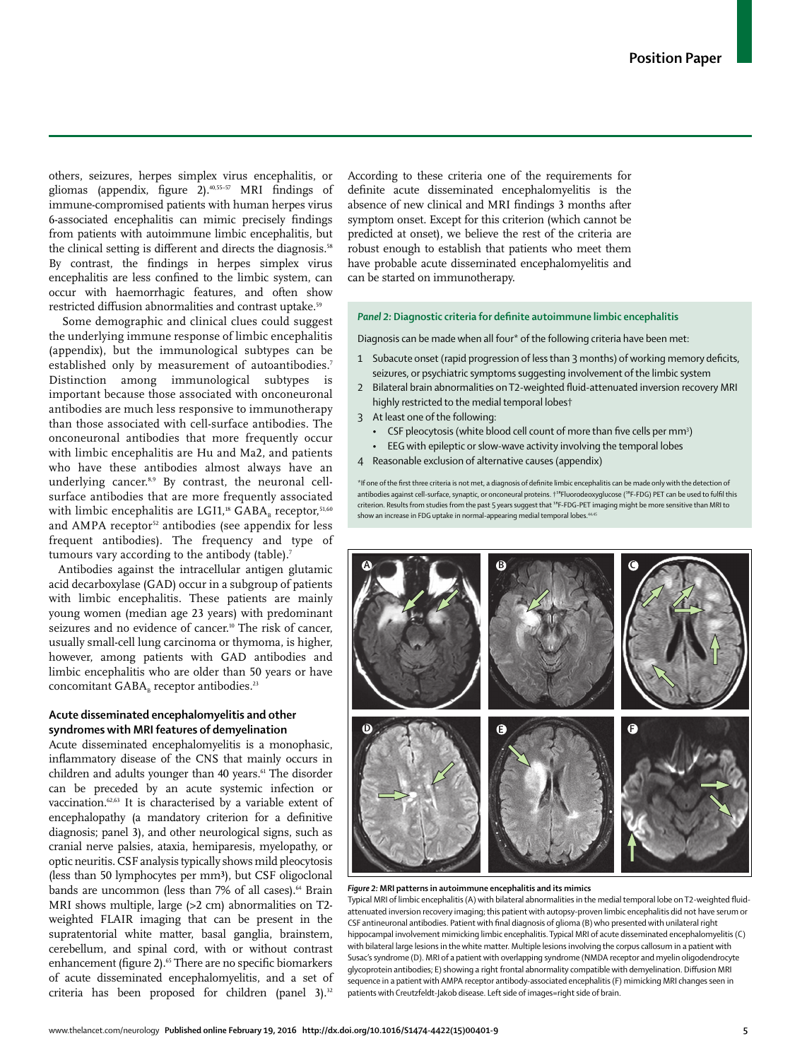others, seizures, herpes simplex virus encephalitis, or gliomas (appendix, figure 2).<sup>40,55-57</sup> MRI findings of immune-compromised patients with human herpes virus 6-associated encephalitis can mimic precisely findings from patients with autoimmune limbic encephalitis, but the clinical setting is different and directs the diagnosis.<sup>58</sup> By contrast, the findings in herpes simplex virus encephalitis are less confined to the limbic system, can occur with haemorrhagic features, and often show restricted diffusion abnormalities and contrast uptake.<sup>59</sup>

 Some demographic and clinical clues could suggest the underlying immune response of limbic encephalitis (appendix), but the immunological subtypes can be established only by measurement of autoantibodies.<sup>7</sup> Distinction among immunological subtypes is important because those associated with onconeuronal antibodies are much less responsive to immunotherapy than those associated with cell-surface antibodies. The onconeuronal antibodies that more frequently occur with limbic encephalitis are Hu and Ma2, and patients who have these antibodies almost always have an underlying cancer.<sup>8,9</sup> By contrast, the neuronal cellsurface antibodies that are more frequently associated with limbic encephalitis are LGI1,<sup>18</sup> GABA<sub>B</sub> receptor,<sup>51,60</sup> and AMPA receptor<sup>52</sup> antibodies (see appendix for less frequent antibodies). The frequency and type of tumours vary according to the antibody (table).<sup>7</sup>

Antibodies against the intracellular antigen glutamic acid decarboxylase (GAD) occur in a subgroup of patients with limbic encephalitis. These patients are mainly young women (median age 23 years) with predominant seizures and no evidence of cancer.<sup>10</sup> The risk of cancer, usually small-cell lung carcinoma or thymoma, is higher, however, among patients with GAD antibodies and limbic encephalitis who are older than 50 years or have concomitant GABA<sub>p</sub> receptor antibodies.<sup>23</sup>

# **Acute disseminated encephalomyelitis and other syndromes with MRI features of demyelination**

Acute disseminated encephalomyelitis is a monophasic, inflammatory disease of the CNS that mainly occurs in children and adults younger than 40 years.61 The disorder can be preceded by an acute systemic infection or vaccination.<sup>62,63</sup> It is characterised by a variable extent of encephalopathy (a mandatory criterion for a definitive diagnosis; panel 3), and other neurological signs, such as cranial nerve palsies, ataxia, hemiparesis, myelopathy, or optic neuritis. CSF analysis typically shows mild pleocytosis (less than 50 lymphocytes per mm<sup>3</sup>), but CSF oligoclonal bands are uncommon (less than 7% of all cases).<sup>64</sup> Brain MRI shows multiple, large (>2 cm) abnormalities on T2 weighted FLAIR imaging that can be present in the supratentorial white matter, basal ganglia, brainstem, cerebellum, and spinal cord, with or without contrast enhancement (figure 2).<sup>65</sup> There are no specific biomarkers of acute disseminated encephalomyelitis, and a set of criteria has been proposed for children (panel 3). $32$ 

According to these criteria one of the requirements for definite acute disseminated encephalomyelitis is the absence of new clinical and MRI findings 3 months after symptom onset. Except for this criterion (which cannot be predicted at onset), we believe the rest of the criteria are robust enough to establish that patients who meet them have probable acute disseminated encephalomyelitis and can be started on immunotherapy.

## Panel 2: Diagnostic criteria for definite autoimmune limbic encephalitis

Diagnosis can be made when all four\* of the following criteria have been met:

- 1 Subacute onset (rapid progression of less than 3 months) of working memory deficits, seizures, or psychiatric symptoms suggesting involvement of the limbic system
- 2 Bilateral brain abnormalities on T2-weighted fluid-attenuated inversion recovery MRI highly restricted to the medial temporal lobes†
- 3 At least one of the following:
	- $\,$  CSF pleocytosis (white blood cell count of more than five cells per mm<sup>3</sup>)
	- EEG with epileptic or slow-wave activity involving the temporal lobes
- 4 Reasonable exclusion of alternative causes (appendix)

\*If one of the first three criteria is not met, a diagnosis of definite limbic encephalitis can be made only with the detection of antibodies against cell-surface, synaptic, or onconeural proteins. <sup>†18</sup>Fluorodeoxyglucose (<sup>18</sup>F-FDG) PET can be used to fulfil this criterion. Results from studies from the past 5 years suggest that <sup>18</sup>F-FDG-PET imaging might be more sensitive than MRI to show an increase in FDG uptake in normal-appearing medial temporal lobes.<sup>444</sup>



#### *Figure 2:* **MRI patterns in autoimmune encephalitis and its mimics**

Typical MRI of limbic encephalitis (A) with bilateral abnormalities in the medial temporal lobe on T2-weighted fluidattenuated inversion recovery imaging; this patient with autopsy-proven limbic encephalitis did not have serum or CSF antineuronal antibodies. Patient with final diagnosis of glioma (B) who presented with unilateral right hippocampal involvement mimicking limbic encephalitis. Typical MRI of acute disseminated encephalomyelitis (C) with bilateral large lesions in the white matter. Multiple lesions involving the corpus callosum in a patient with Susac's syndrome (D). MRI of a patient with overlapping syndrome (NMDA receptor and myelin oligodendrocyte glycoprotein antibodies; E) showing a right frontal abnormality compatible with demyelination. Diffusion MRI sequence in a patient with AMPA receptor antibody-associated encephalitis (F) mimicking MRI changes seen in patients with Creutzfeldt-Jakob disease. Left side of images=right side of brain.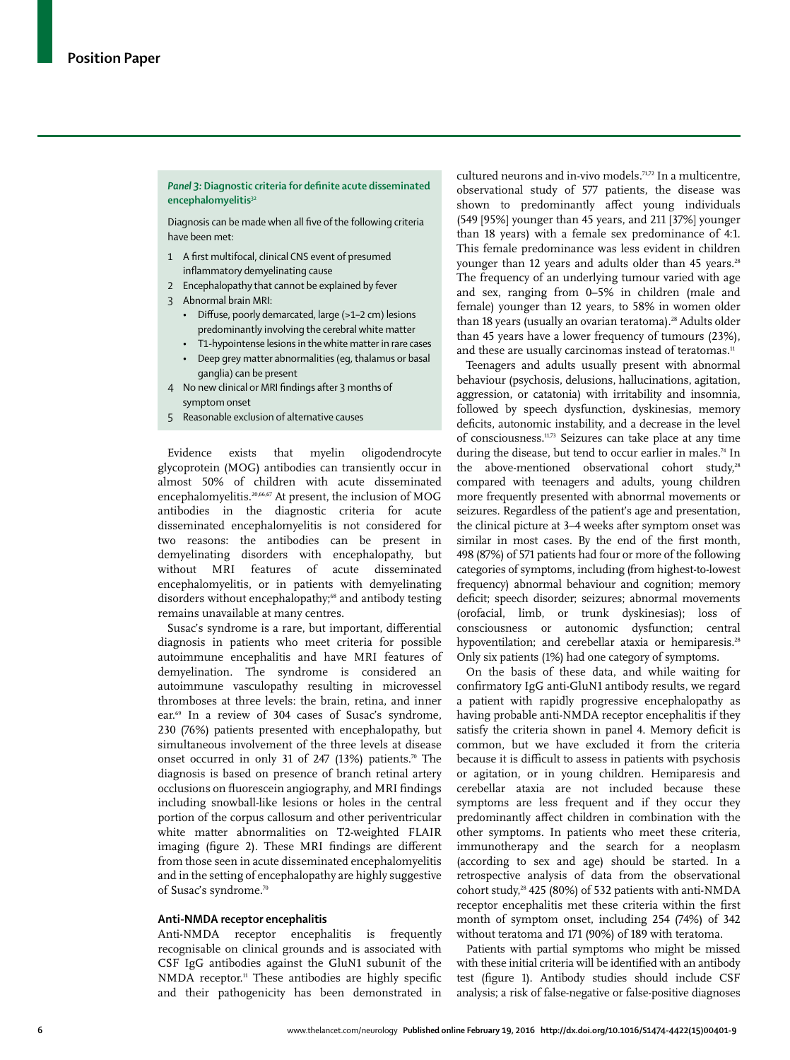**Panel 3: Diagnostic criteria for definite acute disseminated encephalomyelitis**<sup>32</sup>

Diagnosis can be made when all five of the following criteria have been met:

- 1 A first multifocal, clinical CNS event of presumed inflammatory demyelinating cause
- 2 Encephalopathy that cannot be explained by fever
- 3 Abnormal brain MRI:
	- Diffuse, poorly demarcated, large (>1-2 cm) lesions predominantly involving the cerebral white matter
	- T1-hypointense lesions in the white matter in rare cases
	- Deep grey matter abnormalities (eg, thalamus or basal ganglia) can be present
- 4 No new clinical or MRI findings after 3 months of symptom onset
- 5 Reasonable exclusion of alternative causes

Evidence exists that myelin oligodendrocyte glycoprotein (MOG) antibodies can transiently occur in almost 50% of children with acute disseminated encephalomyelitis.<sup>20,66,67</sup> At present, the inclusion of MOG antibodies in the diagnostic criteria for acute disseminated encephalomyelitis is not considered for two reasons: the antibodies can be present in demyelinating disorders with encephalopathy, but without MRI features of acute disseminated encephalomyelitis, or in patients with demyelinating disorders without encephalopathy;<sup>68</sup> and antibody testing remains unavailable at many centres.

Susac's syndrome is a rare, but important, differential diagnosis in patients who meet criteria for possible autoimmune encephalitis and have MRI features of demyelination. The syndrome is considered an autoimmune vasculopathy resulting in microvessel thromboses at three levels: the brain, retina, and inner ear.69 In a review of 304 cases of Susac's syndrome, 230 (76%) patients presented with encephalopathy, but simultaneous involvement of the three levels at disease onset occurred in only 31 of 247 (13%) patients.<sup>70</sup> The diagnosis is based on presence of branch retinal artery occlusions on fluorescein angiography, and MRI findings including snowball-like lesions or holes in the central portion of the corpus callosum and other periventricular white matter abnormalities on T2-weighted FLAIR imaging (figure 2). These MRI findings are different from those seen in acute disseminated encephalomyelitis and in the setting of encephalopathy are highly suggestive of Susac's syndrome.<sup>70</sup>

## **Anti-NMDA receptor encephalitis**

Anti-NMDA receptor encephalitis is frequently recognisable on clinical grounds and is associated with CSF IgG antibodies against the GluN1 subunit of the  $NMDA$  receptor.<sup>11</sup> These antibodies are highly specific and their pathogenicity has been demonstrated in cultured neurons and in-vivo models.71,72 In a multicentre, observational study of 577 patients, the disease was shown to predominantly affect young individuals (549 [95%] younger than 45 years, and 211 [37%] younger than 18 years) with a female sex predominance of 4:1. This female predominance was less evident in children younger than 12 years and adults older than 45 years.<sup>28</sup> The frequency of an underlying tumour varied with age and sex, ranging from 0–5% in children (male and female) younger than 12 years, to 58% in women older than 18 years (usually an ovarian teratoma).<sup>28</sup> Adults older than 45 years have a lower frequency of tumours (23%), and these are usually carcinomas instead of teratomas.<sup>11</sup>

Teenagers and adults usually present with abnormal behaviour (psychosis, delusions, hallucinations, agitation, aggression, or catatonia) with irritability and insomnia, followed by speech dysfunction, dyskinesias, memory deficits, autonomic instability, and a decrease in the level of consciousness.11,73 Seizures can take place at any time during the disease, but tend to occur earlier in males.<sup>74</sup> In the above-mentioned observational cohort study,<sup>28</sup> compared with teenagers and adults, young children more frequently presented with abnormal movements or seizures. Regardless of the patient's age and presentation, the clinical picture at 3–4 weeks after symptom onset was similar in most cases. By the end of the first month, 498 (87%) of 571 patients had four or more of the following categories of symptoms, including (from highest-to-lowest frequency) abnormal behaviour and cognition; memory deficit; speech disorder; seizures; abnormal movements (orofacial, limb, or trunk dyskinesias); loss of consciousness or autonomic dysfunction; central hypoventilation; and cerebellar ataxia or hemiparesis.<sup>28</sup> Only six patients (1%) had one category of symptoms.

On the basis of these data, and while waiting for confirmatory IgG anti-GluN1 antibody results, we regard a patient with rapidly progressive encephalopathy as having probable anti-NMDA receptor encephalitis if they satisfy the criteria shown in panel 4. Memory deficit is common, but we have excluded it from the criteria because it is difficult to assess in patients with psychosis or agitation, or in young children. Hemiparesis and cerebellar ataxia are not included because these symptoms are less frequent and if they occur they predominantly affect children in combination with the other symptoms. In patients who meet these criteria, immunotherapy and the search for a neoplasm (according to sex and age) should be started. In a retrospective analysis of data from the observational cohort study,<sup>28</sup> 425 (80%) of 532 patients with anti-NMDA receptor encephalitis met these criteria within the first month of symptom onset, including 254 (74%) of 342 without teratoma and 171 (90%) of 189 with teratoma.

Patients with partial symptoms who might be missed with these initial criteria will be identified with an antibody test (figure 1). Antibody studies should include CSF analysis; a risk of false-negative or false-positive diagnoses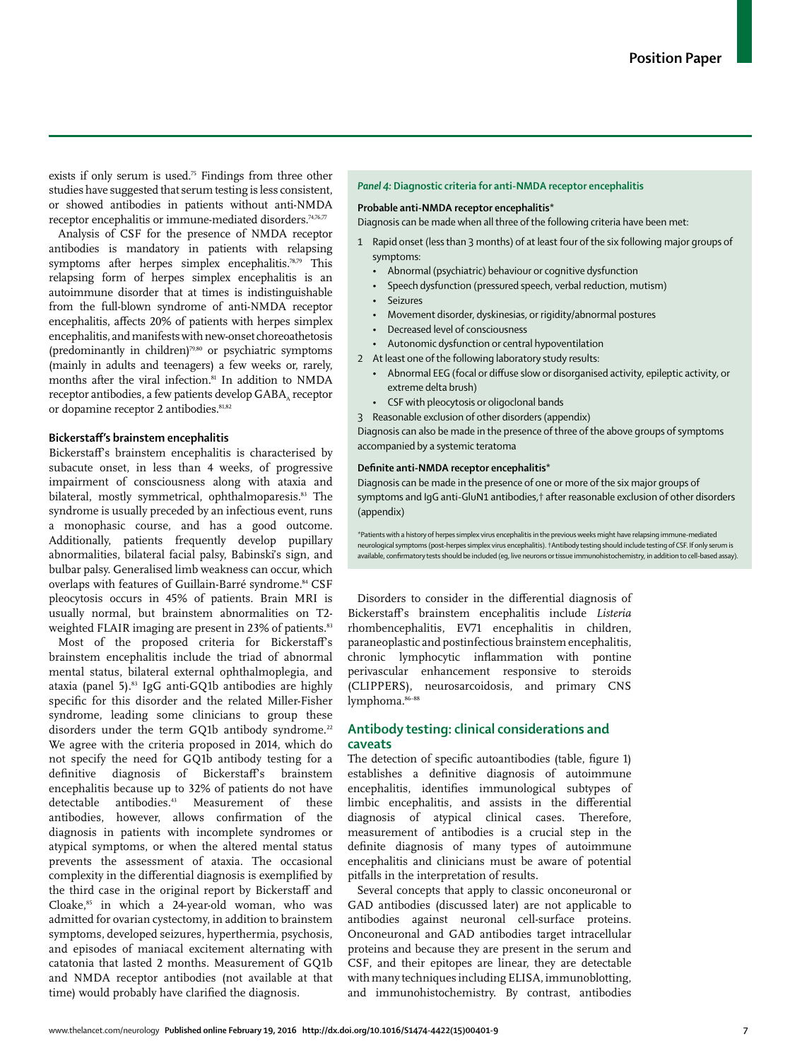exists if only serum is used.<sup>75</sup> Findings from three other studies have suggested that serum testing is less consistent, or showed antibodies in patients without anti-NMDA receptor encephalitis or immune-mediated disorders.<sup>74,76,77</sup>

Analysis of CSF for the presence of NMDA receptor antibodies is mandatory in patients with relapsing symptoms after herpes simplex encephalitis.<sup>78,79</sup> This relapsing form of herpes simplex encephalitis is an autoimmune disorder that at times is indistinguishable from the full-blown syndrome of anti-NMDA receptor encephalitis, affects 20% of patients with herpes simplex encephalitis, and manifests with new-onset choreoathetosis (predominantly in children)79,80 or psychiatric symptoms (mainly in adults and teenagers) a few weeks or, rarely, months after the viral infection.81 In addition to NMDA receptor antibodies, a few patients develop GABA, receptor or dopamine receptor 2 antibodies.<sup>81,82</sup>

## **Bickerstaff 's brainstem encephalitis**

Bickerstaff's brainstem encephalitis is characterised by subacute onset, in less than 4 weeks, of progressive impairment of consciousness along with ataxia and bilateral, mostly symmetrical, ophthalmoparesis.<sup>83</sup> The syndrome is usually preceded by an infectious event, runs a monophasic course, and has a good outcome. Additionally, patients frequently develop pupillary abnormalities, bilateral facial palsy, Babinski's sign, and bulbar palsy. Generalised limb weakness can occur, which overlaps with features of Guillain-Barré syndrome.<sup>84</sup> CSF pleocytosis occurs in 45% of patients. Brain MRI is usually normal, but brainstem abnormalities on T2 weighted FLAIR imaging are present in 23% of patients.<sup>83</sup>

Most of the proposed criteria for Bickerstaff's brainstem encephalitis include the triad of abnormal mental status, bilateral external ophthalmoplegia, and ataxia (panel 5).<sup>83</sup> IgG anti-GQ1b antibodies are highly specific for this disorder and the related Miller-Fisher syndrome, leading some clinicians to group these disorders under the term GQ1b antibody syndrome.<sup>22</sup> We agree with the criteria proposed in 2014, which do not specify the need for GQ1b antibody testing for a definitive diagnosis of Bickerstaff's brainstem encephalitis because up to 32% of patients do not have detectable antibodies.<sup>43</sup> Measurement of these antibodies, however, allows confirmation of the diagnosis in patients with incomplete syndromes or atypical symptoms, or when the altered mental status prevents the assessment of ataxia. The occasional complexity in the differential diagnosis is exemplified by the third case in the original report by Bickerstaff and Cloake,<sup>85</sup> in which a 24-year-old woman, who was admitted for ovarian cystectomy, in addition to brainstem symptoms, developed seizures, hyperthermia, psychosis, and episodes of maniacal excitement alternating with catatonia that lasted 2 months. Measurement of GQ1b and NMDA receptor antibodies (not available at that time) would probably have clarified the diagnosis.

#### *Panel 4:* **Diagnostic criteria for anti-NMDA receptor encephalitis**

#### **Probable anti-NMDA receptor encephalitis\***

Diagnosis can be made when all three of the following criteria have been met:

- 1 Rapid onset (less than 3 months) of at least four of the six following major groups of symptoms:
	- Abnormal (psychiatric) behaviour or cognitive dysfunction
	- Speech dysfunction (pressured speech, verbal reduction, mutism)
	- **Seizures**
	- Movement disorder, dyskinesias, or rigidity/abnormal postures
	- Decreased level of consciousness
	- Autonomic dysfunction or central hypoventilation
- 2 At least one of the following laboratory study results:
	- Abnormal EEG (focal or diffuse slow or disorganised activity, epileptic activity, or extreme delta brush)
	- CSF with pleocytosis or oligoclonal bands
- 3 Reasonable exclusion of other disorders (appendix)

Diagnosis can also be made in the presence of three of the above groups of symptoms accompanied by a systemic teratoma

#### **Defi nite anti-NMDA receptor encephalitis\***

Diagnosis can be made in the presence of one or more of the six major groups of symptoms and IgG anti-GluN1 antibodies,† after reasonable exclusion of other disorders (appendix)

\*Patients with a history of herpes simplex virus encephalitis in the previous weeks might have relapsing immune-mediated<br>neurological symptoms (post-herpes simplex virus encephalitis). †Antibody testing should include test available, confirmatory tests should be included (eg, live neurons or tissue immunohistochemistry, in addition to cell-based assay).

Disorders to consider in the differential diagnosis of Bickerstaff 's brainstem encephalitis include *Listeria* rhombencephalitis, EV71 encephalitis in children, paraneoplastic and postinfectious brainstem encephalitis, chronic lymphocytic inflammation with pontine perivascular enhancement responsive to steroids (CLIPPERS), neurosarcoidosis, and primary CNS lymphoma.<sup>86-8</sup>

# **Antibody testing: clinical considerations and caveats**

The detection of specific autoantibodies (table, figure 1) establishes a definitive diagnosis of autoimmune encephalitis, identifies immunological subtypes of limbic encephalitis, and assists in the differential diagnosis of atypical clinical cases. Therefore, measurement of antibodies is a crucial step in the definite diagnosis of many types of autoimmune encephalitis and clinicians must be aware of potential pitfalls in the interpretation of results.

Several concepts that apply to classic onconeuronal or GAD antibodies (discussed later) are not applicable to antibodies against neuronal cell-surface proteins. Onconeuronal and GAD antibodies target intracellular proteins and because they are present in the serum and CSF, and their epitopes are linear, they are detectable with many techniques including ELISA, immunoblotting, and immunohistochemistry. By contrast, antibodies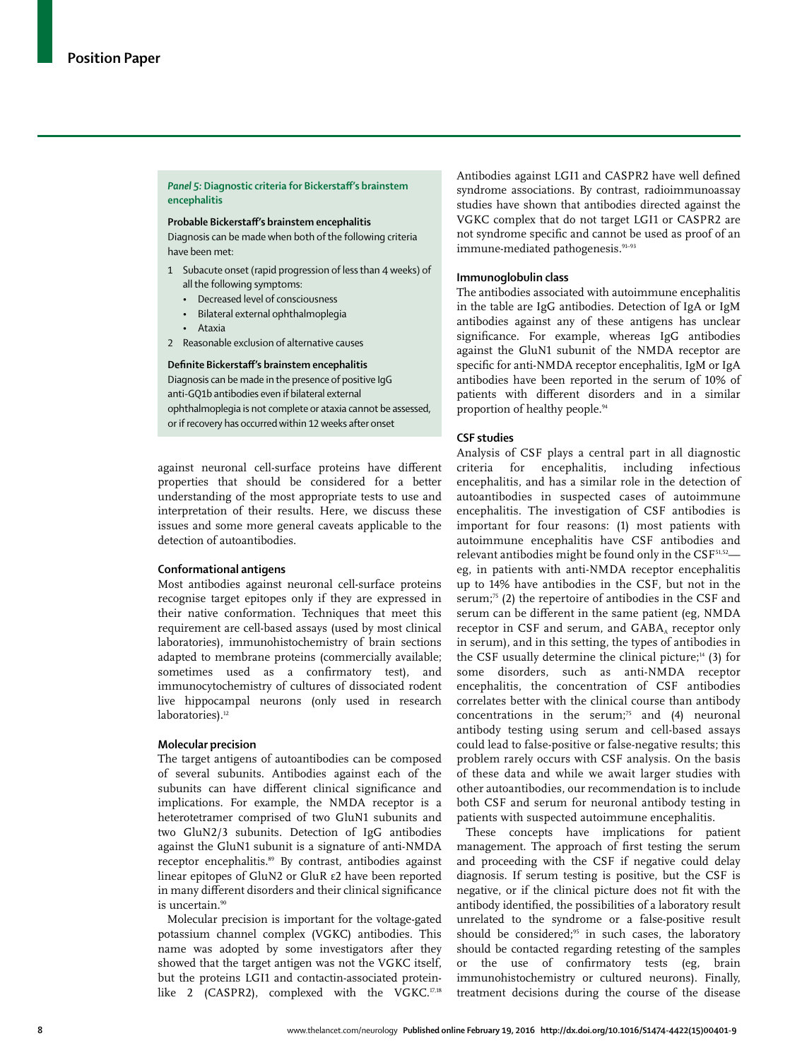## *Panel 5:* **Diagnostic criteria for Bickerstaff 's brainstem encephalitis**

#### **Probable Bickerstaff's brainstem encephalitis**

Diagnosis can be made when both of the following criteria have been met:

- 1 Subacute onset (rapid progression of less than 4 weeks) of all the following symptoms:
	- Decreased level of consciousness
	- Bilateral external ophthalmoplegia
	- Ataxia
- 2 Reasonable exclusion of alternative causes

**Defi nite Bickerstaff 's brainstem encephalitis** Diagnosis can be made in the presence of positive IgG anti-GQ1b antibodies even if bilateral external ophthalmoplegia is not complete or ataxia cannot be assessed, or if recovery has occurred within 12 weeks after onset

against neuronal cell-surface proteins have different properties that should be considered for a better understanding of the most appropriate tests to use and interpretation of their results. Here, we discuss these issues and some more general caveats applicable to the detection of autoantibodies.

## **Conformational antigens**

Most antibodies against neuronal cell-surface proteins recognise target epitopes only if they are expressed in their native conformation. Techniques that meet this requirement are cell-based assays (used by most clinical laboratories), immunohistochemistry of brain sections adapted to membrane proteins (commercially available; sometimes used as a confirmatory test), and immunocytochemistry of cultures of dissociated rodent live hippocampal neurons (only used in research laboratories).<sup>12</sup>

## **Molecular precision**

The target antigens of autoantibodies can be composed of several subunits. Antibodies against each of the subunits can have different clinical significance and implications. For example, the NMDA receptor is a heterotetramer comprised of two GluN1 subunits and two GluN2/3 subunits. Detection of IgG antibodies against the GluN1 subunit is a signature of anti-NMDA receptor encephalitis.<sup>89</sup> By contrast, antibodies against linear epitopes of GluN2 or GluR ε2 have been reported in many different disorders and their clinical significance is uncertain.90

Molecular precision is important for the voltage-gated potassium channel complex (VGKC) antibodies. This name was adopted by some investigators after they showed that the target antigen was not the VGKC itself, but the proteins LGI1 and contactin-associated proteinlike 2 (CASPR2), complexed with the VGKC. $^{17,18}$  Antibodies against LGI1 and CASPR2 have well defined syndrome associations. By contrast, radioimmunoassay studies have shown that antibodies directed against the VGKC complex that do not target LGI1 or CASPR2 are not syndrome specific and cannot be used as proof of an immune-mediated pathogenesis.<sup>91-93</sup>

## **Immunoglobulin class**

The antibodies associated with autoimmune encephalitis in the table are IgG antibodies. Detection of IgA or IgM antibodies against any of these antigens has unclear significance. For example, whereas IgG antibodies against the GluN1 subunit of the NMDA receptor are specific for anti-NMDA receptor encephalitis, IgM or IgA antibodies have been reported in the serum of 10% of patients with different disorders and in a similar proportion of healthy people.<sup>94</sup>

### **CSF studies**

Analysis of CSF plays a central part in all diagnostic criteria for encephalitis, including infectious encephalitis, and has a similar role in the detection of autoantibodies in suspected cases of autoimmune encephalitis. The investigation of CSF antibodies is important for four reasons: (1) most patients with autoimmune encephalitis have CSF antibodies and relevant antibodies might be found only in the CSF<sup>51,52</sup>eg, in patients with anti-NMDA receptor encephalitis up to 14% have antibodies in the CSF, but not in the serum;<sup>75</sup> (2) the repertoire of antibodies in the CSF and serum can be different in the same patient (eg, NMDA receptor in CSF and serum, and GABA, receptor only in serum), and in this setting, the types of antibodies in the CSF usually determine the clinical picture; $14$  (3) for some disorders, such as anti-NMDA receptor encephalitis, the concentration of CSF antibodies correlates better with the clinical course than antibody concentrations in the serum; $75$  and (4) neuronal antibody testing using serum and cell-based assays could lead to false-positive or false-negative results; this problem rarely occurs with CSF analysis. On the basis of these data and while we await larger studies with other autoantibodies, our recommendation is to include both CSF and serum for neuronal antibody testing in patients with suspected autoimmune encephalitis.

These concepts have implications for patient management. The approach of first testing the serum and proceeding with the CSF if negative could delay diagnosis. If serum testing is positive, but the CSF is negative, or if the clinical picture does not fit with the antibody identified, the possibilities of a laboratory result unrelated to the syndrome or a false-positive result should be considered;<sup>95</sup> in such cases, the laboratory should be contacted regarding retesting of the samples or the use of confirmatory tests (eg, brain immunohistochemistry or cultured neurons). Finally, treatment decisions during the course of the disease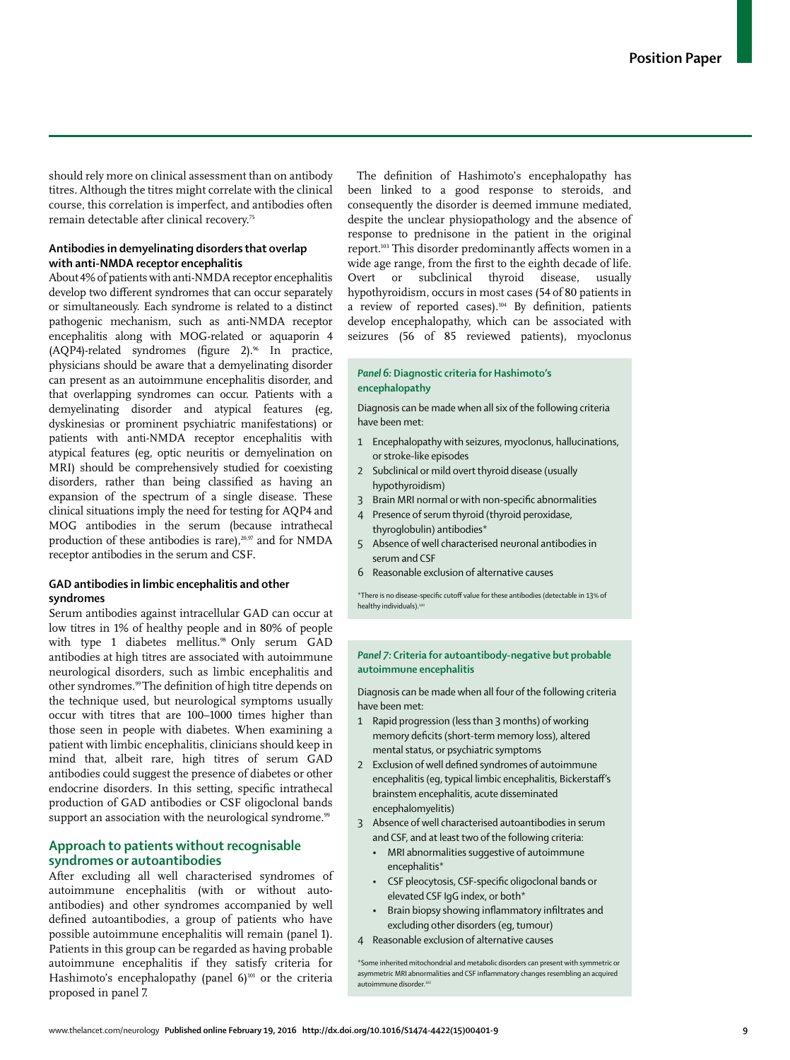should rely more on clinical assessment than on antibody titres. Although the titres might correlate with the clinical course, this correlation is imperfect, and antibodies often remain detectable after clinical recovery.75

## **Antibodies in demyelinating disorders that overlap with anti-NMDA receptor encephalitis**

About 4% of patients with anti-NMDA receptor encephalitis develop two different syndromes that can occur separately or simultaneously. Each syndrome is related to a distinct pathogenic mechanism, such as anti-NMDA receptor encephalitis along with MOG-related or aquaporin 4  $(AQP4)$ -related syndromes (figure 2).<sup>96</sup> In practice, physicians should be aware that a demyelinating disorder can present as an autoimmune encephalitis disorder, and that overlapping syndromes can occur. Patients with a demyelinating disorder and atypical features (eg, dyskinesias or prominent psychiatric manifestations) or patients with anti-NMDA receptor encephalitis with atypical features (eg, optic neuritis or demyelination on MRI) should be comprehensively studied for coexisting disorders, rather than being classified as having an expansion of the spectrum of a single disease. These clinical situations imply the need for testing for AQP4 and MOG antibodies in the serum (because intrathecal production of these antibodies is rare), $20,97$  and for NMDA receptor antibodies in the serum and CSF.

# **GAD antibodies in limbic encephalitis and other syndromes**

Serum antibodies against intracellular GAD can occur at low titres in 1% of healthy people and in 80% of people with type 1 diabetes mellitus.<sup>98</sup> Only serum GAD antibodies at high titres are associated with autoimmune neurological disorders, such as limbic encephalitis and other syndromes.<sup>99</sup> The definition of high titre depends on the technique used, but neurological symptoms usually occur with titres that are 100–1000 times higher than those seen in people with diabetes. When examining a patient with limbic encephalitis, clinicians should keep in mind that, albeit rare, high titres of serum GAD antibodies could suggest the presence of diabetes or other endocrine disorders. In this setting, specific intrathecal production of GAD antibodies or CSF oligoclonal bands support an association with the neurological syndrome.<sup>99</sup>

# **Approach to patients without recognisable syndromes or autoantibodies**

After excluding all well characterised syndromes of autoimmune encephalitis (with or without autoantibodies) and other syndromes accompanied by well defined autoantibodies, a group of patients who have possible autoimmune encephalitis will remain (panel 1). Patients in this group can be regarded as having probable autoimmune encephalitis if they satisfy criteria for Hashimoto's encephalopathy (panel  $6$ )<sup>101</sup> or the criteria proposed in panel 7.

The definition of Hashimoto's encephalopathy has been linked to a good response to steroids, and consequently the disorder is deemed immune mediated, despite the unclear physiopathology and the absence of response to prednisone in the patient in the original report.<sup>103</sup> This disorder predominantly affects women in a wide age range, from the first to the eighth decade of life. Overt or subclinical thyroid disease, usually hypothyroidism, occurs in most cases (54 of 80 patients in a review of reported cases).<sup>104</sup> By definition, patients develop encephalopathy, which can be associated with seizures (56 of 85 reviewed patients), myoclonus

# *Panel 6:* **Diagnostic criteria for Hashimoto's encephalopathy**

Diagnosis can be made when all six of the following criteria have been met:

- 1 Encephalopathy with seizures, myoclonus, hallucinations, or stroke-like episodes
- 2 Subclinical or mild overt thyroid disease (usually hypothyroidism)
- 3 Brain MRI normal or with non-specific abnormalities
- 4 Presence of serum thyroid (thyroid peroxidase, thyroglobulin) antibodies\*
- 5 Absence of well characterised neuronal antibodies in serum and CSF
- 6 Reasonable exclusion of alternative causes

\*There is no disease-specific cutoff value for these antibodies (detectable in 13% of healthy individuals).<sup>1</sup>

## *Panel 7:* **Criteria for autoantibody-negative but probable autoimmune encephalitis**

Diagnosis can be made when all four of the following criteria have been met:

- 1 Rapid progression (less than 3 months) of working memory deficits (short-term memory loss), altered mental status, or psychiatric symptoms
- 2 Exclusion of well defined syndromes of autoimmune encephalitis (eg, typical limbic encephalitis, Bickerstaff's brainstem encephalitis, acute disseminated encephalomyelitis)
- 3 Absence of well characterised autoantibodies in serum and CSF, and at least two of the following criteria:
	- MRI abnormalities suggestive of autoimmune encephalitis\*
	- CSF pleocytosis, CSF-specific oligoclonal bands or elevated CSF IgG index, or both\*
	- Brain biopsy showing inflammatory infiltrates and excluding other disorders (eg, tumour)
- 4 Reasonable exclusion of alternative causes

\*Some inherited mitochondrial and metabolic disorders can present with symmetric or asymmetric MRI abnormalities and CSF inflammatory changes resembling an acquired autoimmune disorder.<sup>102</sup>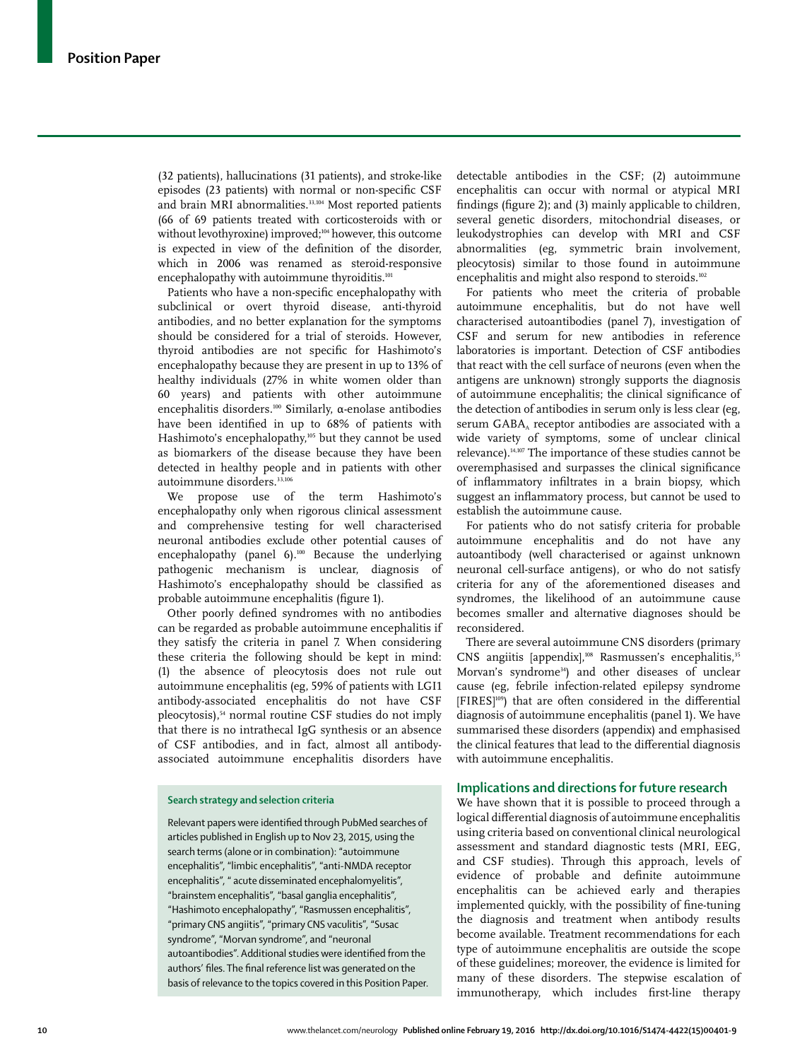(32 patients), hallucinations (31 patients), and stroke-like episodes (23 patients) with normal or non-specific CSF and brain MRI abnormalities.<sup>33,104</sup> Most reported patients (66 of 69 patients treated with corticosteroids with or without levothyroxine) improved;<sup>104</sup> however, this outcome is expected in view of the definition of the disorder, which in 2006 was renamed as steroid-responsive encephalopathy with autoimmune thyroiditis.<sup>101</sup>

Patients who have a non-specific encephalopathy with subclinical or overt thyroid disease, anti-thyroid antibodies, and no better explanation for the symptoms should be considered for a trial of steroids. However, thyroid antibodies are not specific for Hashimoto's encephalopathy because they are present in up to 13% of healthy individuals (27% in white women older than 60 years) and patients with other autoimmune encephalitis disorders.100 Similarly, α-enolase antibodies have been identified in up to 68% of patients with Hashimoto's encephalopathy,<sup>105</sup> but they cannot be used as biomarkers of the disease because they have been detected in healthy people and in patients with other autoimmune disorders.<sup>33,106</sup>

We propose use of the term Hashimoto's encephalopathy only when rigorous clinical assessment and comprehensive testing for well characterised neuronal antibodies exclude other potential causes of encephalopathy (panel 6).<sup>100</sup> Because the underlying pathogenic mechanism is unclear, diagnosis of Hashimoto's encephalopathy should be classified as probable autoimmune encephalitis (figure 1).

Other poorly defined syndromes with no antibodies can be regarded as probable autoimmune encephalitis if they satisfy the criteria in panel 7. When considering these criteria the following should be kept in mind: (1) the absence of pleocytosis does not rule out autoimmune encephalitis (eg, 59% of patients with LGI1 antibody-associated encephalitis do not have CSF pleocytosis),<sup>54</sup> normal routine CSF studies do not imply that there is no intrathecal IgG synthesis or an absence of CSF antibodies, and in fact, almost all antibodyassociated autoimmune encephalitis disorders have

#### **Search strategy and selection criteria**

Relevant papers were identified through PubMed searches of articles published in English up to Nov 23, 2015, using the search terms (alone or in combination): "autoimmune encephalitis", "limbic encephalitis", "anti-NMDA receptor encephalitis", " acute disseminated encephalomyelitis", "brainstem encephalitis", "basal ganglia encephalitis", "Hashimoto encephalopathy", "Rasmussen encephalitis", "primary CNS angiitis", "primary CNS vaculitis", "Susac syndrome", "Morvan syndrome", and "neuronal autoantibodies". Additional studies were identified from the authors' files. The final reference list was generated on the basis of relevance to the topics covered in this Position Paper. detectable antibodies in the CSF; (2) autoimmune encephalitis can occur with normal or atypical MRI findings (figure 2); and (3) mainly applicable to children, several genetic disorders, mitochondrial diseases, or leukodystrophies can develop with MRI and CSF abnormalities (eg, symmetric brain involvement, pleocytosis) similar to those found in autoimmune encephalitis and might also respond to steroids.<sup>102</sup>

For patients who meet the criteria of probable autoimmune encephalitis, but do not have well characterised autoantibodies (panel 7), investigation of CSF and serum for new antibodies in reference laboratories is important. Detection of CSF antibodies that react with the cell surface of neurons (even when the antigens are unknown) strongly supports the diagnosis of autoimmune encephalitis; the clinical significance of the detection of antibodies in serum only is less clear (eg, serum GABA, receptor antibodies are associated with a wide variety of symptoms, some of unclear clinical relevance).14,107 The importance of these studies cannot be overemphasised and surpasses the clinical significance of inflammatory infiltrates in a brain biopsy, which suggest an inflammatory process, but cannot be used to establish the autoimmune cause.

For patients who do not satisfy criteria for probable autoimmune encephalitis and do not have any autoantibody (well characterised or against unknown neuronal cell-surface antigens), or who do not satisfy criteria for any of the aforementioned diseases and syndromes, the likelihood of an autoimmune cause becomes smaller and alternative diagnoses should be reconsidered.

There are several autoimmune CNS disorders (primary CNS angiitis [appendix],<sup>108</sup> Rasmussen's encephalitis,<sup>35</sup> Morvan's syndrome<sup>34</sup>) and other diseases of unclear cause (eg, febrile infection-related epilepsy syndrome [FIRES]<sup>109</sup>) that are often considered in the differential diagnosis of autoimmune encephalitis (panel 1). We have summarised these disorders (appendix) and emphasised the clinical features that lead to the differential diagnosis with autoimmune encephalitis.

## **Implications and directions for future research**

We have shown that it is possible to proceed through a logical differential diagnosis of autoimmune encephalitis using criteria based on conventional clinical neurological assessment and standard diagnostic tests (MRI, EEG, and CSF studies). Through this approach, levels of evidence of probable and definite autoimmune encephalitis can be achieved early and therapies implemented quickly, with the possibility of fine-tuning the diagnosis and treatment when antibody results become available. Treatment recommendations for each type of autoimmune encephalitis are outside the scope of these guidelines; moreover, the evidence is limited for many of these disorders. The stepwise escalation of immunotherapy, which includes first-line therapy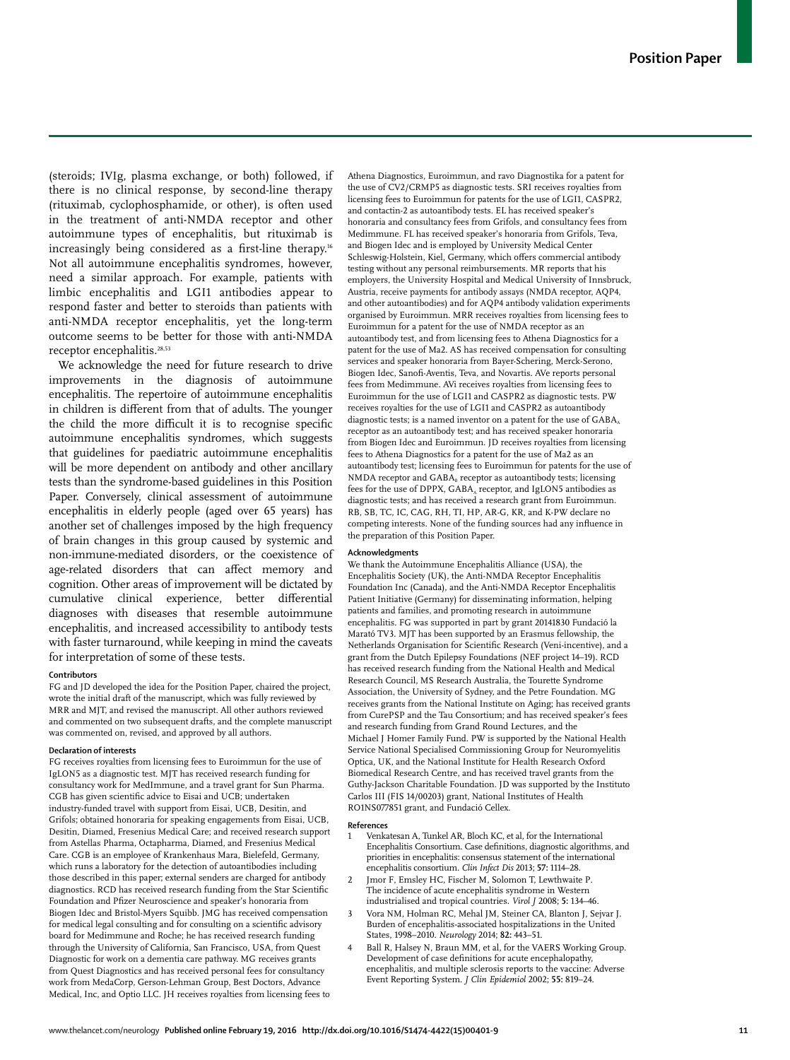(steroids; IVIg, plasma exchange, or both) followed, if there is no clinical response, by second-line therapy (rituximab, cyclophosphamide, or other), is often used in the treatment of anti-NMDA receptor and other autoimmune types of encephalitis, but rituximab is increasingly being considered as a first-line therapy.<sup>16</sup> Not all autoimmune encephalitis syndromes, however, need a similar approach. For example, patients with limbic encephalitis and LGI1 antibodies appear to respond faster and better to steroids than patients with anti-NMDA receptor encephalitis, yet the long-term outcome seems to be better for those with anti-NMDA receptor encephalitis.<sup>28,53</sup>

We acknowledge the need for future research to drive improvements in the diagnosis of autoimmune encephalitis. The repertoire of autoimmune encephalitis in children is different from that of adults. The younger the child the more difficult it is to recognise specific autoimmune encephalitis syndromes, which suggests that guidelines for paediatric autoimmune encephalitis will be more dependent on antibody and other ancillary tests than the syndrome-based guidelines in this Position Paper. Conversely, clinical assessment of autoimmune encephalitis in elderly people (aged over 65 years) has another set of challenges imposed by the high frequency of brain changes in this group caused by systemic and non-immune-mediated disorders, or the coexistence of age-related disorders that can affect memory and cognition. Other areas of improvement will be dictated by cumulative clinical experience, better differential diagnoses with diseases that resemble autoimmune encephalitis, and increased accessibility to antibody tests with faster turnaround, while keeping in mind the caveats for interpretation of some of these tests.

#### **Contributors**

FG and JD developed the idea for the Position Paper, chaired the project, wrote the initial draft of the manuscript, which was fully reviewed by MRR and MJT, and revised the manuscript. All other authors reviewed and commented on two subsequent drafts, and the complete manuscript was commented on, revised, and approved by all authors.

## **Declaration of interests**

FG receives royalties from licensing fees to Euroimmun for the use of IgLON5 as a diagnostic test. MJT has received research funding for consultancy work for MedImmune, and a travel grant for Sun Pharma.  $CCB$  has given scientific advice to Eisai and  $UCB$ ; undertaken industry-funded travel with support from Eisai, UCB, Desitin, and Grifols; obtained honoraria for speaking engagements from Eisai, UCB, Desitin, Diamed, Fresenius Medical Care; and received research support from Astellas Pharma, Octapharma, Diamed, and Fresenius Medical Care. CGB is an employee of Krankenhaus Mara, Bielefeld, Germany, which runs a laboratory for the detection of autoantibodies including those described in this paper; external senders are charged for antibody diagnostics. RCD has received research funding from the Star Scientific Foundation and Pfizer Neuroscience and speaker's honoraria from Biogen Idec and Bristol-Myers Squibb. JMG has received compensation for medical legal consulting and for consulting on a scientific advisory board for Medimmune and Roche; he has received research funding through the University of California, San Francisco, USA, from Quest Diagnostic for work on a dementia care pathway. MG receives grants from Quest Diagnostics and has received personal fees for consultancy work from MedaCorp, Gerson-Lehman Group, Best Doctors, Advance Medical, Inc, and Optio LLC. JH receives royalties from licensing fees to Athena Diagnostics, Euroimmun, and ravo Diagnostika for a patent for the use of CV2/CRMP5 as diagnostic tests. SRI receives royalties from licensing fees to Euroimmun for patents for the use of LGI1, CASPR2, and contactin-2 as autoantibody tests. EL has received speaker's honoraria and consultancy fees from Grifols, and consultancy fees from Medimmune. FL has received speaker's honoraria from Grifols, Teva, and Biogen Idec and is employed by University Medical Center Schleswig-Holstein, Kiel, Germany, which offers commercial antibody testing without any personal reimbursements. MR reports that his employers, the University Hospital and Medical University of Innsbruck, Austria, receive payments for antibody assays (NMDA receptor, AQP4, and other autoantibodies) and for AQP4 antibody validation experiments organised by Euroimmun. MRR receives royalties from licensing fees to Euroimmun for a patent for the use of NMDA receptor as an autoantibody test, and from licensing fees to Athena Diagnostics for a patent for the use of Ma2. AS has received compensation for consulting services and speaker honoraria from Bayer-Schering, Merck-Serono, Biogen Idec, Sanofi -Aventis, Teva, and Novartis. AVe reports personal fees from Medimmune. AVi receives royalties from licensing fees to Euroimmun for the use of LGI1 and CASPR2 as diagnostic tests. PW receives royalties for the use of LGI1 and CASPR2 as autoantibody diagnostic tests; is a named inventor on a patent for the use of  $GABA_A$ receptor as an autoantibody test; and has received speaker honoraria from Biogen Idec and Euroimmun. ID receives royalties from licensing fees to Athena Diagnostics for a patent for the use of Ma2 as an autoantibody test; licensing fees to Euroimmun for patents for the use of NMDA receptor and GABA<sub>B</sub> receptor as autoantibody tests; licensing fees for the use of DPPX,  $GABA_A$  receptor, and IgLON5 antibodies as diagnostic tests; and has received a research grant from Euroimmun. RB, SB, TC, IC, CAG, RH, TI, HP, AR-G, KR, and K-PW declare no competing interests. None of the funding sources had any influence in the preparation of this Position Paper.

#### **Acknowledgments**

We thank the Autoimmune Encephalitis Alliance (USA), the Encephalitis Society (UK), the Anti-NMDA Receptor Encephalitis Foundation Inc (Canada), and the Anti-NMDA Receptor Encephalitis Patient Initiative (Germany) for disseminating information, helping patients and families, and promoting research in autoimmune encephalitis. FG was supported in part by grant 20141830 Fundació la Marató TV3. MJT has been supported by an Erasmus fellowship, the Netherlands Organisation for Scientific Research (Veni-incentive), and a grant from the Dutch Epilepsy Foundations (NEF project 14–19). RCD has received research funding from the National Health and Medical Research Council, MS Research Australia, the Tourette Syndrome Association, the University of Sydney, and the Petre Foundation. MG receives grants from the National Institute on Aging; has received grants from CurePSP and the Tau Consortium; and has received speaker's fees and research funding from Grand Round Lectures, and the Michael J Homer Family Fund. PW is supported by the National Health Service National Specialised Commissioning Group for Neuromyelitis Optica, UK, and the National Institute for Health Research Oxford Biomedical Research Centre, and has received travel grants from the Guthy-Jackson Charitable Foundation. JD was supported by the Instituto Carlos III (FIS 14/00203) grant, National Institutes of Health RO1NS077851 grant, and Fundació Cellex.

#### **References**

- 1 Venkatesan A, Tunkel AR, Bloch KC, et al, for the International Encephalitis Consortium. Case definitions, diagnostic algorithms, and priorities in encephalitis: consensus statement of the international encephalitis consortium. *Clin Infect Dis* 2013; **57:** 1114–28.
- 2 Jmor F, Emsley HC, Fischer M, Solomon T, Lewthwaite P. The incidence of acute encephalitis syndrome in Western industrialised and tropical countries. *Virol J* 2008; **5:** 134–46.
- 3 Vora NM, Holman RC, Mehal JM, Steiner CA, Blanton J, Sejvar J. Burden of encephalitis-associated hospitalizations in the United States, 1998–2010. *Neurology* 2014; **82:** 443–51.
- Ball R, Halsey N, Braun MM, et al, for the VAERS Working Group. Development of case definitions for acute encephalopathy, encephalitis, and multiple sclerosis reports to the vaccine: Adverse Event Reporting System. *J Clin Epidemiol* 2002; **55:** 819–24.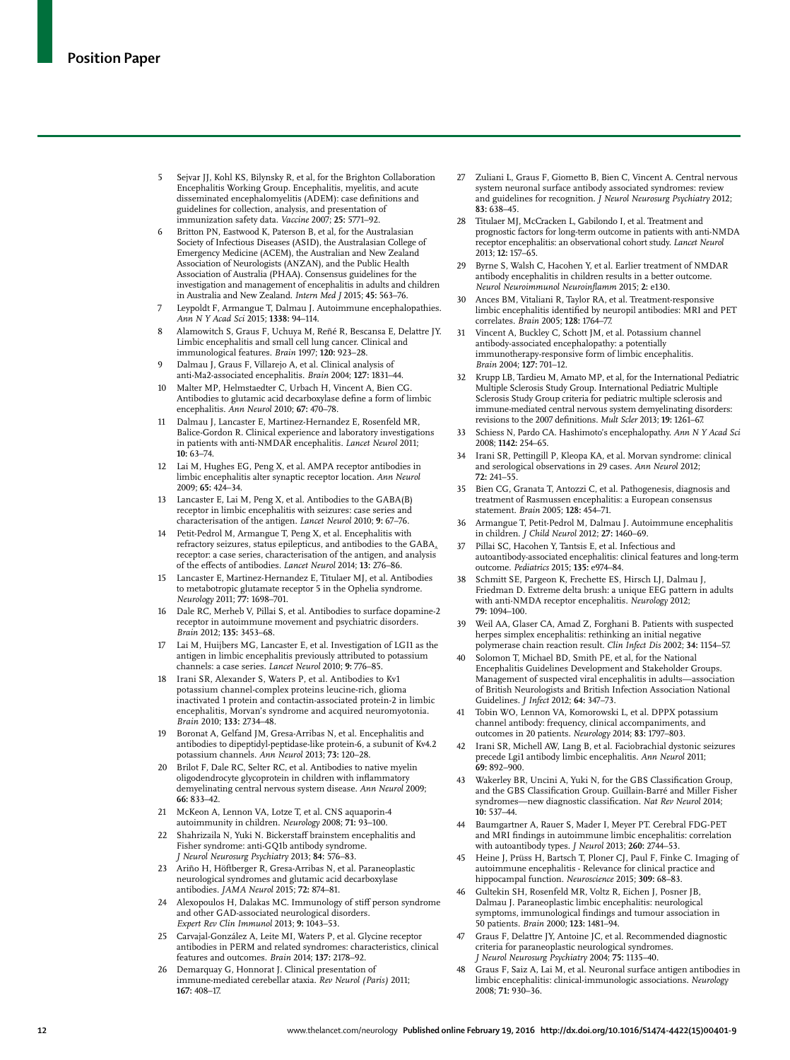- 5 Sejvar JJ, Kohl KS, Bilynsky R, et al, for the Brighton Collaboration Encephalitis Working Group. Encephalitis, myelitis, and acute disseminated encephalomyelitis (ADEM): case definitions and guidelines for collection, analysis, and presentation of immunization safety data. *Vaccine* 2007; **25:** 5771–92.
- Britton PN, Eastwood K, Paterson B, et al, for the Australasian Society of Infectious Diseases (ASID), the Australasian College of Emergency Medicine (ACEM), the Australian and New Zealand Association of Neurologists (ANZAN), and the Public Health Association of Australia (PHAA). Consensus guidelines for the investigation and management of encephalitis in adults and children in Australia and New Zealand. *Intern Med J* 2015; **45:** 563–76.
- 7 Leypoldt F, Armangue T, Dalmau J. Autoimmune encephalopathies. *Ann N Y Acad Sci* 2015; **1338:** 94–114.
- 8 Alamowitch S, Graus F, Uchuya M, Reñé R, Bescansa E, Delattre JY. Limbic encephalitis and small cell lung cancer. Clinical and immunological features. *Brain* 1997; **120:** 923–28.
- 9 Dalmau J, Graus F, Villarejo A, et al. Clinical analysis of anti-Ma2-associated encephalitis. *Brain* 2004; **127:** 1831–44.
- 10 Malter MP, Helmstaedter C, Urbach H, Vincent A, Bien CG. Antibodies to glutamic acid decarboxylase define a form of limbic encephalitis. *Ann Neurol* 2010; **67:** 470–78.
- 11 Dalmau J, Lancaster E, Martinez-Hernandez E, Rosenfeld MR Balice-Gordon R. Clinical experience and laboratory investigations in patients with anti-NMDAR encephalitis. *Lancet Neurol* 2011; **10:** 63–74.
- 12 Lai M, Hughes EG, Peng X, et al. AMPA receptor antibodies in limbic encephalitis alter synaptic receptor location. *Ann Neurol* 2009; **65:** 424–34.
- 13 Lancaster E, Lai M, Peng X, et al. Antibodies to the GABA(B) receptor in limbic encephalitis with seizures: case series and characterisation of the antigen. *Lancet Neurol* 2010; **9:** 67–76.
- Petit-Pedrol M, Armangue T, Peng X, et al. Encephalitis with refractory seizures, status epilepticus, and antibodies to the  $\text{GABA}_A$ receptor: a case series, characterisation of the antigen, and analysis of the effects of antibodies. *Lancet Neurol* 2014; 13: 276-86.
- 15 Lancaster E, Martinez-Hernandez E, Titulaer MJ, et al. Antibodies to metabotropic glutamate receptor 5 in the Ophelia syndrome. *Neurology* 2011; **77:** 1698–701.
- 16 Dale RC, Merheb V, Pillai S, et al. Antibodies to surface dopamine-2 receptor in autoimmune movement and psychiatric disorders. *Brain* 2012; **135:** 3453–68.
- 17 Lai M, Huijbers MG, Lancaster E, et al. Investigation of LGI1 as the antigen in limbic encephalitis previously attributed to potassium channels: a case series. *Lancet Neurol* 2010; **9:** 776–85.
- 18 Irani SR, Alexander S, Waters P, et al. Antibodies to Kv1 potassium channel-complex proteins leucine-rich, glioma inactivated 1 protein and contactin-associated protein-2 in limbic encephalitis, Morvan's syndrome and acquired neuromyotonia. *Brain* 2010; **133:** 2734–48.
- 19 Boronat A, Gelfand JM, Gresa-Arribas N, et al. Encephalitis and antibodies to dipeptidyl-peptidase-like protein-6, a subunit of Kv4.2 potassium channels. *Ann Neurol* 2013; **73:** 120–28.
- 20 Brilot F, Dale RC, Selter RC, et al. Antibodies to native myelin oligodendrocyte glycoprotein in children with inflammatory demyelinating central nervous system disease. *Ann Neurol* 2009; **66:** 833–42.
- McKeon A, Lennon VA, Lotze T, et al. CNS aquaporin-4 autoimmunity in children. *Neurology* 2008; **71:** 93–100.
- 22 Shahrizaila N, Yuki N. Bickerstaff brainstem encephalitis and Fisher syndrome: anti-GQ1b antibody syndrome. *J Neurol Neurosurg Psychiatry* 2013; **84:** 576–83.
- 23 Ariño H, Höftberger R, Gresa-Arribas N, et al. Paraneoplastic neurological syndromes and glutamic acid decarboxylase antibodies. *JAMA Neurol* 2015; **72:** 874–81.
- 24 Alexopoulos H, Dalakas MC. Immunology of stiff person syndrome and other GAD-associated neurological disorders. *Expert Rev Clin Immunol* 2013; **9:** 1043–53.
- 25 Carvajal-González A, Leite MI, Waters P, et al. Glycine receptor antibodies in PERM and related syndromes: characteristics, clinical features and outcomes. *Brain* 2014; **137:** 2178–92.
- 26 Demarquay G, Honnorat J. Clinical presentation of immune-mediated cerebellar ataxia. *Rev Neurol (Paris)* 2011; **167:** 408–17.
- 27 Zuliani L, Graus F, Giometto B, Bien C, Vincent A. Central nervous system neuronal surface antibody associated syndromes: review and guidelines for recognition. *J Neurol Neurosurg Psychiatry* 2012; **83:** 638–45.
- 28 Titulaer MJ, McCracken L, Gabilondo I, et al. Treatment and prognostic factors for long-term outcome in patients with anti-NMDA receptor encephalitis: an observational cohort study. *Lancet Neurol* 2013; **12:** 157–65.
- Byrne S, Walsh C, Hacohen Y, et al. Earlier treatment of NMDAR antibody encephalitis in children results in a better outcome. *Neurol Neuroimmunol Neuroinfl amm* 2015; **2:** e130.
- 30 Ances BM, Vitaliani R, Taylor RA, et al. Treatment-responsive limbic encephalitis identified by neuropil antibodies: MRI and PET correlates. *Brain* 2005; **128:** 1764–77.
- 31 Vincent A, Buckley C, Schott JM, et al. Potassium channel antibody-associated encephalopathy: a potentially immunotherapy-responsive form of limbic encephalitis. *Brain* 2004; **127:** 701–12.
- Krupp LB, Tardieu M, Amato MP, et al, for the International Pediatric Multiple Sclerosis Study Group. International Pediatric Multiple Sclerosis Study Group criteria for pediatric multiple sclerosis and immune-mediated central nervous system demyelinating disorders: revisions to the 2007 definitions. *Mult Scler* 2013; 19: 1261–67.
- 33 Schiess N, Pardo CA. Hashimoto's encephalopathy. *Ann N Y Acad Sci* 2008; **1142:** 254–65.
- 34 Irani SR, Pettingill P, Kleopa KA, et al. Morvan syndrome: clinical and serological observations in 29 cases. *Ann Neurol* 2012; **72:** 241–55.
- 35 Bien CG, Granata T, Antozzi C, et al. Pathogenesis, diagnosis and treatment of Rasmussen encephalitis: a European consensus statement. *Brain* 2005; **128:** 454–71.
- 36 Armangue T, Petit-Pedrol M, Dalmau J. Autoimmune encephalitis in children. *J Child Neurol* 2012; **27:** 1460–69.
- 37 Pillai SC, Hacohen Y, Tantsis E, et al. Infectious and autoantibody-associated encephalitis: clinical features and long-term outcome. *Pediatrics* 2015; **135:** e974–84.
- Schmitt SE, Pargeon K, Frechette ES, Hirsch LJ, Dalmau J, Friedman D. Extreme delta brush: a unique EEG pattern in adults with anti-NMDA receptor encephalitis. *Neurology* 2012; **79:** 1094–100.
- 39 Weil AA, Glaser CA, Amad Z, Forghani B. Patients with suspected herpes simplex encephalitis: rethinking an initial negative polymerase chain reaction result. *Clin Infect Dis* 2002; **34:** 1154–57.
- 40 Solomon T, Michael BD, Smith PE, et al, for the National Encephalitis Guidelines Development and Stakeholder Groups. Management of suspected viral encephalitis in adults—association of British Neurologists and British Infection Association National Guidelines. *J Infect* 2012; **64:** 347–73.
- 41 Tobin WO, Lennon VA, Komorowski L, et al. DPPX potassium channel antibody: frequency, clinical accompaniments, and outcomes in 20 patients. *Neurology* 2014; **83:** 1797–803.
- 42 Irani SR, Michell AW, Lang B, et al. Faciobrachial dystonic seizures precede Lgi1 antibody limbic encephalitis. *Ann Neurol* 2011; **69:** 892–900.
- Wakerley BR, Uncini A, Yuki N, for the GBS Classification Group, and the GBS Classification Group. Guillain-Barré and Miller Fisher syndromes—new diagnostic classification. *Nat Rev Neurol* 2014; **10:** 537–44.
- Baumgartner A, Rauer S, Mader I, Meyer PT. Cerebral FDG-PET and MRI findings in autoimmune limbic encephalitis: correlation with autoantibody types. *J Neurol* 2013; **260:** 2744–53.
- Heine J, Prüss H, Bartsch T, Ploner CJ, Paul F, Finke C. Imaging of autoimmune encephalitis - Relevance for clinical practice and hippocampal function. *Neuroscience* 2015; **309:** 68–83.
- 46 Gultekin SH, Rosenfeld MR, Voltz R, Eichen J, Posner JB, Dalmau J. Paraneoplastic limbic encephalitis: neurological symptoms, immunological findings and tumour association in 50 patients. *Brain* 2000; **123:** 1481–94.
- 47 Graus F, Delattre JY, Antoine JC, et al. Recommended diagnostic criteria for paraneoplastic neurological syndromes. *J Neurol Neurosurg Psychiatry* 2004; **75:** 1135–40.
- 48 Graus F, Saiz A, Lai M, et al. Neuronal surface antigen antibodies in limbic encephalitis: clinical-immunologic associations. *Neurology* 2008; **71:** 930–36.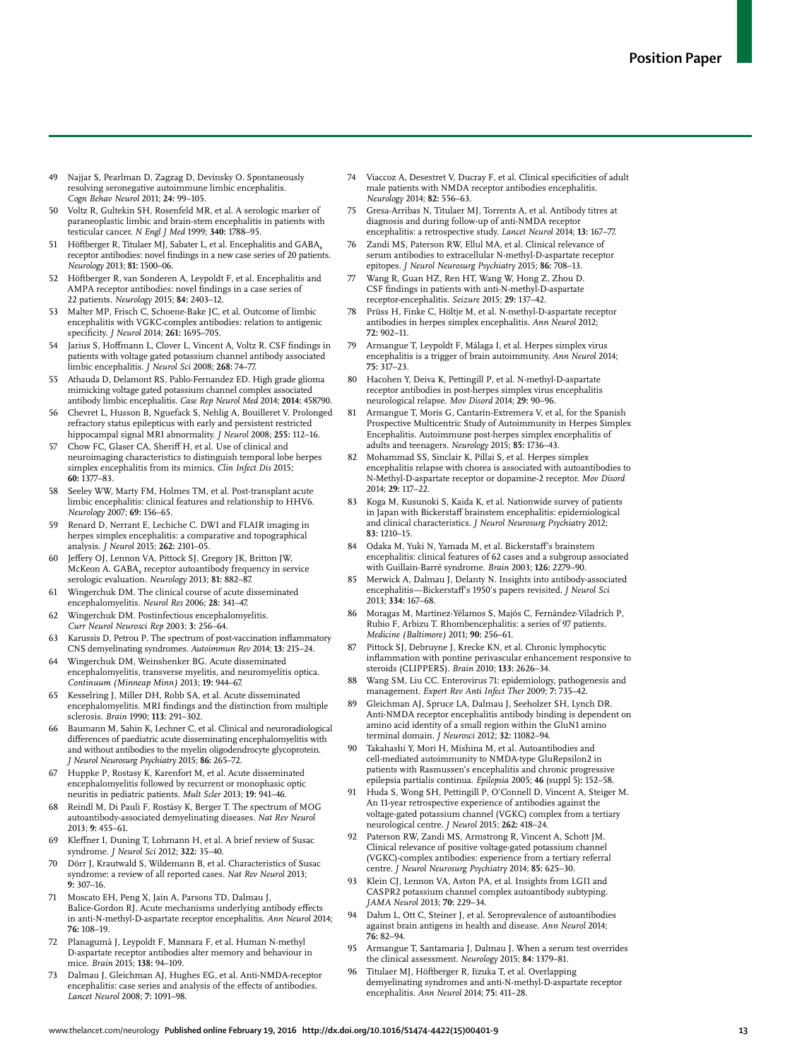- 49 Najjar S, Pearlman D, Zagzag D, Devinsky O. Spontaneously resolving seronegative autoimmune limbic encephalitis. *Cogn Behav Neurol* 2011; **24:** 99–105.
- 50 Voltz R, Gultekin SH, Rosenfeld MR, et al. A serologic marker of paraneoplastic limbic and brain-stem encephalitis in patients with testicular cancer. *N Engl J Med* 1999; **340:** 1788–95.
- 51 Höftberger R, Titulaer MJ, Sabater L, et al. Encephalitis and GABA. receptor antibodies: novel findings in a new case series of 20 patients. *Neurology* 2013; **81:** 1500–06.
- 52 Höftberger R, van Sonderen A, Leypoldt F, et al. Encephalitis and AMPA receptor antibodies: novel findings in a case series of 22 patients. *Neurology* 2015; **84:** 2403–12.
- 53 Malter MP, Frisch C, Schoene-Bake JC, et al. Outcome of limbic encephalitis with VGKC-complex antibodies: relation to antigenic specifi city. *J Neurol* 2014; **261:** 1695–705.
- Jarius S, Hoffmann L, Clover L, Vincent A, Voltz R. CSF findings in patients with voltage gated potassium channel antibody associated limbic encephalitis. *J Neurol Sci* 2008; **268:** 74–77.
- 55 Athauda D, Delamont RS, Pablo-Fernandez ED. High grade glioma mimicking voltage gated potassium channel complex associated antibody limbic encephalitis. *Case Rep Neurol Med* 2014; **2014:** 458790.
- 56 Chevret L, Husson B, Nguefack S, Nehlig A, Bouilleret V. Prolonged refractory status epilepticus with early and persistent restricted hippocampal signal MRI abnormality. *J Neurol* 2008; **255:** 112–16.
- 57 Chow FC, Glaser CA, Sheriff H, et al. Use of clinical and neuroimaging characteristics to distinguish temporal lobe herpes simplex encephalitis from its mimics. *Clin Infect Dis* 2015; **60:** 1377–83.
- Seeley WW, Marty FM, Holmes TM, et al. Post-transplant acute limbic encephalitis: clinical features and relationship to HHV6. *Neurology* 2007; **69:** 156–65.
- 59 Renard D, Nerrant E, Lechiche C. DWI and FLAIR imaging in herpes simplex encephalitis: a comparative and topographical analysis. *J Neurol* 2015; **262:** 2101–05.
- 60 Jeffery OJ, Lennon VA, Pittock SJ, Gregory JK, Britton JW,  $MCKe$ on A. GABA<sub>R</sub> receptor autoantibody frequency in service serologic evaluation. *Neurology* 2013; **81:** 882–87.
- 61 Wingerchuk DM. The clinical course of acute disseminated encephalomyelitis. *Neurol Res* 2006; **28:** 341–47.
- 62 Wingerchuk DM. Postinfectious encephalomyelitis. *Curr Neurol Neurosci Rep* 2003; **3:** 256–64.
- 63 Karussis D, Petrou P. The spectrum of post-vaccination inflammatory CNS demyelinating syndromes. *Autoimmun Rev* 2014; **13:** 215–24.
- 64 Wingerchuk DM, Weinshenker BG. Acute disseminated encephalomyelitis, transverse myelitis, and neuromyelitis optica. *Continuum (Minneap Minn)* 2013; **19:** 944–67.
- 65 Kesselring J, Miller DH, Robb SA, et al. Acute disseminated encephalomyelitis. MRI findings and the distinction from multiple sclerosis. *Brain* 1990; **113:** 291–302.
- 66 Baumann M, Sahin K, Lechner C, et al. Clinical and neuroradiological differences of paediatric acute disseminating encephalomyelitis with and without antibodies to the myelin oligodendrocyte glycoprotein. *J Neurol Neurosurg Psychiatry* 2015; **86:** 265–72.
- Huppke P, Rostasy K, Karenfort M, et al. Acute disseminated encephalomyelitis followed by recurrent or monophasic optic neuritis in pediatric patients. *Mult Scler* 2013; **19:** 941–46.
- 68 Reindl M, Di Pauli F, Rostásy K, Berger T. The spectrum of MOG autoantibody-associated demyelinating diseases. *Nat Rev Neurol* 2013; **9:** 455–61.
- 69 Kleffner I, Duning T, Lohmann H, et al. A brief review of Susac syndrome. *J Neurol Sci* 2012; **322:** 35–40.
- 70 Dörr J, Krautwald S, Wildemann B, et al. Characteristics of Susac syndrome: a review of all reported cases. *Nat Rev Neurol* 2013; **9:** 307–16.
- 71 Moscato EH, Peng X, Jain A, Parsons TD, Dalmau J, Balice-Gordon RJ. Acute mechanisms underlying antibody effects in anti-N-methyl-D-aspartate receptor encephalitis. *Ann Neurol* 2014; **76:** 108–19.
- 72 Planagumà J, Leypoldt F, Mannara F, et al. Human N-methyl D-aspartate receptor antibodies alter memory and behaviour in mice. *Brain* 2015; **138:** 94–109.
- 73 Dalmau J, Gleichman AJ, Hughes EG, et al. Anti-NMDA-receptor encephalitis: case series and analysis of the effects of antibodies. *Lancet Neurol* 2008; **7:** 1091–98.
- 74 Viaccoz A, Desestret V, Ducray F, et al. Clinical specificities of adult male patients with NMDA receptor antibodies encephalitis. *Neurology* 2014; **82:** 556–63.
- 75 Gresa-Arribas N, Titulaer MJ, Torrents A, et al. Antibody titres at diagnosis and during follow-up of anti-NMDA receptor encephalitis: a retrospective study. *Lancet Neurol* 2014; **13:** 167–77.
- 76 Zandi MS, Paterson RW, Ellul MA, et al. Clinical relevance of serum antibodies to extracellular N-methyl-D-aspartate receptor epitopes. *J Neurol Neurosurg Psychiatry* 2015; **86:** 708–13.
- 77 Wang R, Guan HZ, Ren HT, Wang W, Hong Z, Zhou D. CSF findings in patients with anti-N-methyl-D-aspartate receptor-encephalitis. *Seizure* 2015; **29:** 137–42.
- 78 Prüss H, Finke C, Höltje M, et al. N-methyl-D-aspartate receptor antibodies in herpes simplex encephalitis. *Ann Neurol* 2012; **72:** 902–11.
- 79 Armangue T, Leypoldt F, Málaga I, et al. Herpes simplex virus encephalitis is a trigger of brain autoimmunity. *Ann Neurol* 2014; **75:** 317–23.
- 80 Hacohen Y, Deiva K, Pettingill P, et al. N-methyl-D-aspartate receptor antibodies in post-herpes simplex virus encephalitis neurological relapse. *Mov Disord* 2014; **29:** 90–96.
- 81 Armangue T, Moris G, Cantarín-Extremera V, et al, for the Spanish Prospective Multicentric Study of Autoimmunity in Herpes Simplex Encephalitis. Autoimmune post-herpes simplex encephalitis of adults and teenagers. *Neurology* 2015; **85:** 1736–43.
- 82 Mohammad SS, Sinclair K, Pillai S, et al. Herpes simplex encephalitis relapse with chorea is associated with autoantibodies to N-Methyl-D-aspartate receptor or dopamine-2 receptor. *Mov Disord* 2014; **29:** 117–22.
- 83 Koga M, Kusunoki S, Kaida K, et al. Nationwide survey of patients in Japan with Bickerstaff brainstem encephalitis: epidemiological and clinical characteristics. *J Neurol Neurosurg Psychiatry* 2012; **83:** 1210–15.
- 84 Odaka M, Yuki N, Yamada M, et al. Bickerstaff's brainstem encephalitis: clinical features of 62 cases and a subgroup associated with Guillain-Barré syndrome. *Brain* 2003; **126:** 2279–90.
- 85 Merwick A, Dalmau J, Delanty N. Insights into antibody-associated encephalitis—Bickerstaff's 1950's papers revisited. *J Neurol Sci* 2013; **334:** 167–68.
- 86 Moragas M, Martínez-Yélamos S, Majós C, Fernández-Viladrich P, Rubio F, Arbizu T. Rhombencephalitis: a series of 97 patients. *Medicine (Baltimore)* 2011; **90:** 256–61.
- 87 Pittock SJ, Debruyne J, Krecke KN, et al. Chronic lymphocytic inflammation with pontine perivascular enhancement responsive to<br>steroids (CLIPPERS). *Brain* 2010; **133**: 2626–34.
- 88 Wang SM, Liu CC. Enterovirus 71: epidemiology, pathogenesis and management. *Expert Rev Anti Infect Ther* 2009; **7:** 735–42.
- 89 Gleichman AJ, Spruce LA, Dalmau J, Seeholzer SH, Lynch DR. Anti-NMDA receptor encephalitis antibody binding is dependent on amino acid identity of a small region within the GluN1 amino terminal domain. *J Neurosci* 2012; **32:** 11082–94.
- Takahashi Y, Mori H, Mishina M, et al. Autoantibodies and cell-mediated autoimmunity to NMDA-type GluRepsilon2 in patients with Rasmussen's encephalitis and chronic progressive epilepsia partialis continua. *Epilepsia* 2005; **46** (suppl 5)**:** 152–58.
- 91 Huda S, Wong SH, Pettingill P, O'Connell D, Vincent A, Steiger M. An 11-year retrospective experience of antibodies against the voltage-gated potassium channel (VGKC) complex from a tertiary neurological centre. *J Neurol* 2015; **262:** 418–24.
- Paterson RW, Zandi MS, Armstrong R, Vincent A, Schott JM. Clinical relevance of positive voltage-gated potassium channel (VGKC)-complex antibodies: experience from a tertiary referral centre. *J Neurol Neurosurg Psychiatry* 2014; **85:** 625–30.
- 93 Klein CJ, Lennon VA, Aston PA, et al. Insights from LGI1 and CASPR2 potassium channel complex autoantibody subtyping. *JAMA Neurol* 2013; **70:** 229–34.
- Dahm L, Ott C, Steiner J, et al. Seroprevalence of autoantibodies against brain antigens in health and disease. *Ann Neurol* 2014; **76:** 82–94.
- 95 Armangue T, Santamaria J, Dalmau J. When a serum test overrides the clinical assessment. *Neurology* 2015; **84:** 1379–81.
- 96 Titulaer MJ, Höftberger R, Iizuka T, et al. Overlapping demyelinating syndromes and anti-N-methyl-D-aspartate receptor encephalitis. *Ann Neurol* 2014; **75:** 411–28.